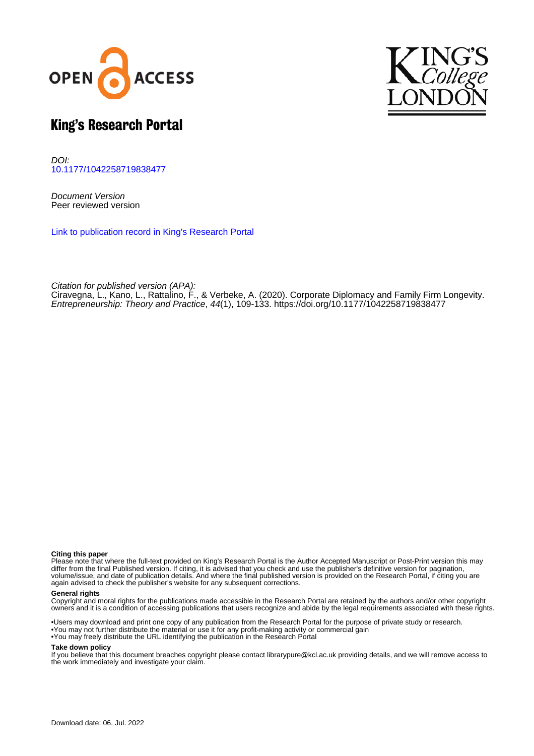



## King's Research Portal

DOI: [10.1177/1042258719838477](https://doi.org/10.1177/1042258719838477)

Document Version Peer reviewed version

[Link to publication record in King's Research Portal](https://kclpure.kcl.ac.uk/portal/en/publications/corporate-diplomacy-and-family-firm-longevity(c6d57c7c-c8c7-49ad-8055-97364a1b8659).html)

Citation for published version (APA):

[Ciravegna, L.](https://kclpure.kcl.ac.uk/portal/en/persons/luciano-ciravegna(d89c3c63-3fa4-46f4-a45e-1e7fec987ed9).html), Kano, L., Rattalino, F., & Verbeke, A. (2020). [Corporate Diplomacy and Family Firm Longevity](https://kclpure.kcl.ac.uk/portal/en/publications/corporate-diplomacy-and-family-firm-longevity(c6d57c7c-c8c7-49ad-8055-97364a1b8659).html). [Entrepreneurship: Theory and Practice](https://kclpure.kcl.ac.uk/portal/en/journals/entrepreneurship-theory-and-practice(5fdc3293-c5cf-4494-b3d0-576de747b600).html), 44(1), 109-133.<https://doi.org/10.1177/1042258719838477>

#### **Citing this paper**

Please note that where the full-text provided on King's Research Portal is the Author Accepted Manuscript or Post-Print version this may differ from the final Published version. If citing, it is advised that you check and use the publisher's definitive version for pagination, volume/issue, and date of publication details. And where the final published version is provided on the Research Portal, if citing you are again advised to check the publisher's website for any subsequent corrections.

#### **General rights**

Copyright and moral rights for the publications made accessible in the Research Portal are retained by the authors and/or other copyright owners and it is a condition of accessing publications that users recognize and abide by the legal requirements associated with these rights.

•Users may download and print one copy of any publication from the Research Portal for the purpose of private study or research. •You may not further distribute the material or use it for any profit-making activity or commercial gain •You may freely distribute the URL identifying the publication in the Research Portal

#### **Take down policy**

If you believe that this document breaches copyright please contact librarypure@kcl.ac.uk providing details, and we will remove access to the work immediately and investigate your claim.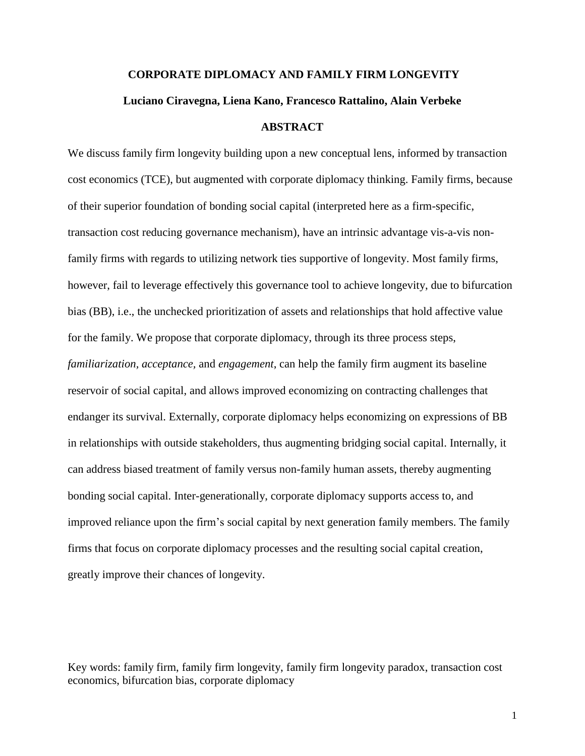# **CORPORATE DIPLOMACY AND FAMILY FIRM LONGEVITY Luciano Ciravegna, Liena Kano, Francesco Rattalino, Alain Verbeke ABSTRACT**

We discuss family firm longevity building upon a new conceptual lens, informed by transaction cost economics (TCE), but augmented with corporate diplomacy thinking. Family firms, because of their superior foundation of bonding social capital (interpreted here as a firm-specific, transaction cost reducing governance mechanism), have an intrinsic advantage vis-a-vis nonfamily firms with regards to utilizing network ties supportive of longevity. Most family firms, however, fail to leverage effectively this governance tool to achieve longevity, due to bifurcation bias (BB), i.e., the unchecked prioritization of assets and relationships that hold affective value for the family. We propose that corporate diplomacy, through its three process steps, *familiarization, acceptance,* and *engagement*, can help the family firm augment its baseline reservoir of social capital, and allows improved economizing on contracting challenges that endanger its survival. Externally, corporate diplomacy helps economizing on expressions of BB in relationships with outside stakeholders, thus augmenting bridging social capital. Internally, it can address biased treatment of family versus non-family human assets, thereby augmenting bonding social capital. Inter-generationally, corporate diplomacy supports access to, and improved reliance upon the firm's social capital by next generation family members. The family firms that focus on corporate diplomacy processes and the resulting social capital creation, greatly improve their chances of longevity.

Key words: family firm, family firm longevity, family firm longevity paradox, transaction cost economics, bifurcation bias, corporate diplomacy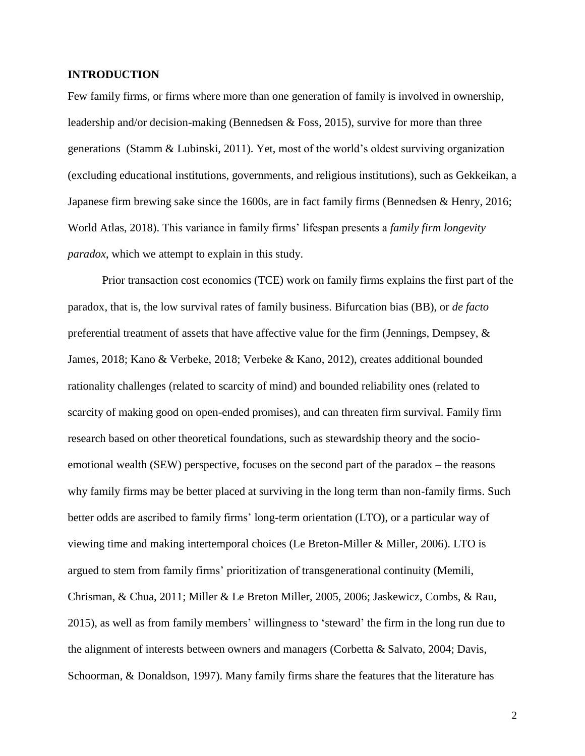#### **INTRODUCTION**

Few family firms, or firms where more than one generation of family is involved in ownership, leadership and/or decision-making (Bennedsen & Foss, 2015), survive for more than three generations (Stamm & Lubinski, 2011). Yet, most of the world's oldest surviving organization (excluding educational institutions, governments, and religious institutions), such as Gekkeikan, a Japanese firm brewing sake since the 1600s, are in fact family firms (Bennedsen & Henry, 2016; World Atlas, 2018). This variance in family firms' lifespan presents a *family firm longevity paradox*, which we attempt to explain in this study.

Prior transaction cost economics (TCE) work on family firms explains the first part of the paradox, that is, the low survival rates of family business. Bifurcation bias (BB), or *de facto* preferential treatment of assets that have affective value for the firm (Jennings, Dempsey,  $\&$ James, 2018; Kano & Verbeke, 2018; Verbeke & Kano, 2012), creates additional bounded rationality challenges (related to scarcity of mind) and bounded reliability ones (related to scarcity of making good on open-ended promises), and can threaten firm survival. Family firm research based on other theoretical foundations, such as stewardship theory and the socioemotional wealth (SEW) perspective, focuses on the second part of the paradox – the reasons why family firms may be better placed at surviving in the long term than non-family firms. Such better odds are ascribed to family firms' long-term orientation (LTO), or a particular way of viewing time and making intertemporal choices (Le Breton-Miller & Miller, 2006). LTO is argued to stem from family firms' prioritization of transgenerational continuity (Memili, Chrisman, & Chua, 2011; Miller & Le Breton Miller, 2005, 2006; Jaskewicz, Combs, & Rau, 2015), as well as from family members' willingness to 'steward' the firm in the long run due to the alignment of interests between owners and managers (Corbetta & Salvato, 2004; Davis, Schoorman, & Donaldson, 1997). Many family firms share the features that the literature has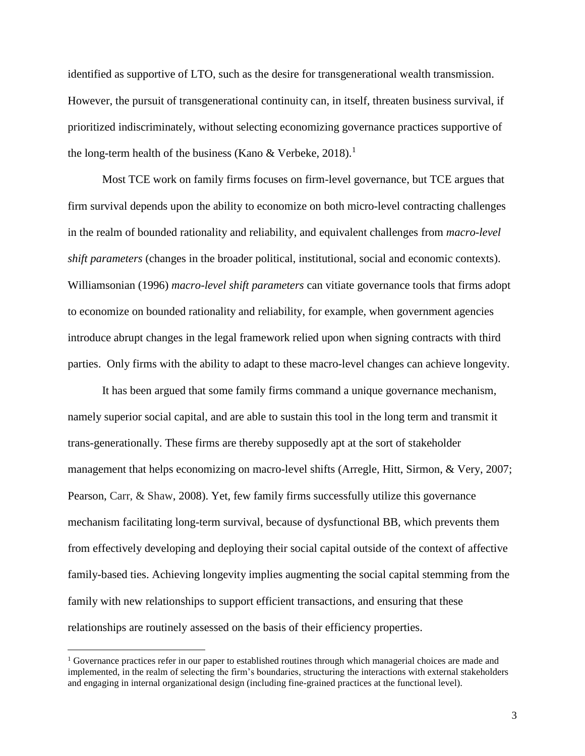identified as supportive of LTO, such as the desire for transgenerational wealth transmission. However, the pursuit of transgenerational continuity can, in itself, threaten business survival, if prioritized indiscriminately, without selecting economizing governance practices supportive of the long-term health of the business (Kano & Verbeke,  $2018$ ).<sup>1</sup>

Most TCE work on family firms focuses on firm-level governance, but TCE argues that firm survival depends upon the ability to economize on both micro-level contracting challenges in the realm of bounded rationality and reliability, and equivalent challenges from *macro-level shift parameters* (changes in the broader political, institutional, social and economic contexts). Williamsonian (1996) *macro-level shift parameters* can vitiate governance tools that firms adopt to economize on bounded rationality and reliability, for example, when government agencies introduce abrupt changes in the legal framework relied upon when signing contracts with third parties. Only firms with the ability to adapt to these macro-level changes can achieve longevity.

It has been argued that some family firms command a unique governance mechanism, namely superior social capital, and are able to sustain this tool in the long term and transmit it trans-generationally. These firms are thereby supposedly apt at the sort of stakeholder management that helps economizing on macro-level shifts (Arregle, Hitt, Sirmon, & Very, 2007; Pearson, Carr, & Shaw, 2008). Yet, few family firms successfully utilize this governance mechanism facilitating long-term survival, because of dysfunctional BB, which prevents them from effectively developing and deploying their social capital outside of the context of affective family-based ties. Achieving longevity implies augmenting the social capital stemming from the family with new relationships to support efficient transactions, and ensuring that these relationships are routinely assessed on the basis of their efficiency properties.

 $\overline{a}$ 

<sup>&</sup>lt;sup>1</sup> Governance practices refer in our paper to established routines through which managerial choices are made and implemented, in the realm of selecting the firm's boundaries, structuring the interactions with external stakeholders and engaging in internal organizational design (including fine-grained practices at the functional level).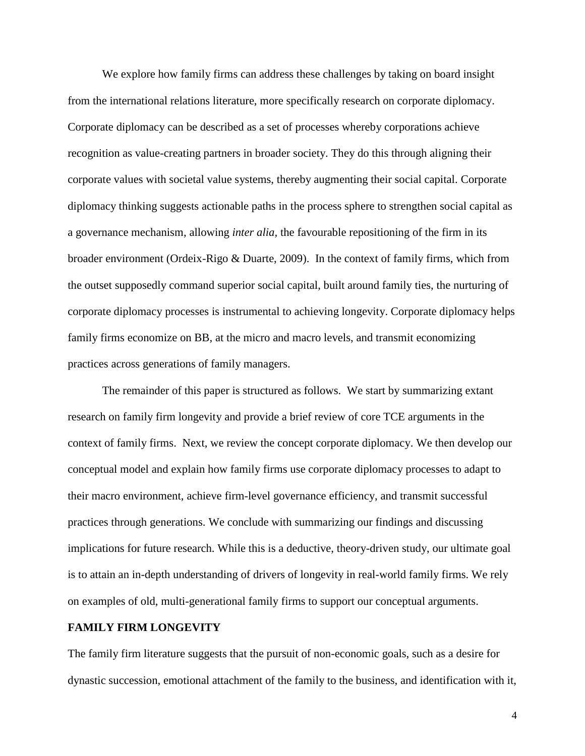We explore how family firms can address these challenges by taking on board insight from the international relations literature, more specifically research on corporate diplomacy. Corporate diplomacy can be described as a set of processes whereby corporations achieve recognition as value-creating partners in broader society. They do this through aligning their corporate values with societal value systems, thereby augmenting their social capital. Corporate diplomacy thinking suggests actionable paths in the process sphere to strengthen social capital as a governance mechanism, allowing *inter alia,* the favourable repositioning of the firm in its broader environment (Ordeix-Rigo & Duarte, 2009). In the context of family firms, which from the outset supposedly command superior social capital, built around family ties, the nurturing of corporate diplomacy processes is instrumental to achieving longevity. Corporate diplomacy helps family firms economize on BB, at the micro and macro levels, and transmit economizing practices across generations of family managers.

The remainder of this paper is structured as follows. We start by summarizing extant research on family firm longevity and provide a brief review of core TCE arguments in the context of family firms. Next, we review the concept corporate diplomacy. We then develop our conceptual model and explain how family firms use corporate diplomacy processes to adapt to their macro environment, achieve firm-level governance efficiency, and transmit successful practices through generations. We conclude with summarizing our findings and discussing implications for future research. While this is a deductive, theory-driven study, our ultimate goal is to attain an in-depth understanding of drivers of longevity in real-world family firms. We rely on examples of old, multi-generational family firms to support our conceptual arguments.

#### **FAMILY FIRM LONGEVITY**

The family firm literature suggests that the pursuit of non-economic goals, such as a desire for dynastic succession, emotional attachment of the family to the business, and identification with it,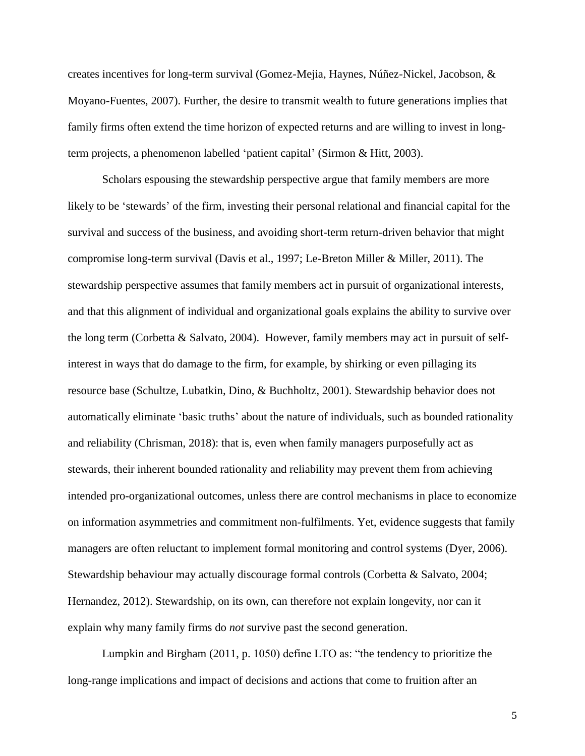creates incentives for long-term survival (Gomez-Mejia, Haynes, Núñez-Nickel, Jacobson, & Moyano-Fuentes, 2007). Further, the desire to transmit wealth to future generations implies that family firms often extend the time horizon of expected returns and are willing to invest in longterm projects, a phenomenon labelled 'patient capital' (Sirmon & Hitt, 2003).

Scholars espousing the stewardship perspective argue that family members are more likely to be 'stewards' of the firm, investing their personal relational and financial capital for the survival and success of the business, and avoiding short-term return-driven behavior that might compromise long-term survival (Davis et al., 1997; Le-Breton Miller & Miller, 2011). The stewardship perspective assumes that family members act in pursuit of organizational interests, and that this alignment of individual and organizational goals explains the ability to survive over the long term (Corbetta & Salvato, 2004). However, family members may act in pursuit of selfinterest in ways that do damage to the firm, for example, by shirking or even pillaging its resource base (Schultze, Lubatkin, Dino, & Buchholtz, 2001). Stewardship behavior does not automatically eliminate 'basic truths' about the nature of individuals, such as bounded rationality and reliability (Chrisman, 2018): that is, even when family managers purposefully act as stewards, their inherent bounded rationality and reliability may prevent them from achieving intended pro-organizational outcomes, unless there are control mechanisms in place to economize on information asymmetries and commitment non-fulfilments. Yet, evidence suggests that family managers are often reluctant to implement formal monitoring and control systems (Dyer, 2006). Stewardship behaviour may actually discourage formal controls (Corbetta & Salvato, 2004; Hernandez, 2012). Stewardship, on its own, can therefore not explain longevity, nor can it explain why many family firms do *not* survive past the second generation.

Lumpkin and Birgham (2011, p. 1050) define LTO as: "the tendency to prioritize the long-range implications and impact of decisions and actions that come to fruition after an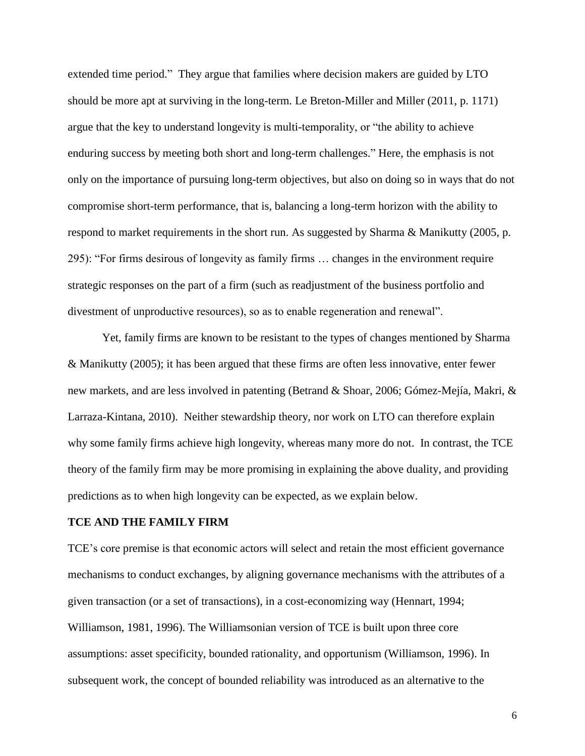extended time period." They argue that families where decision makers are guided by LTO should be more apt at surviving in the long-term. Le Breton-Miller and Miller (2011, p. 1171) argue that the key to understand longevity is multi-temporality, or "the ability to achieve enduring success by meeting both short and long-term challenges." Here, the emphasis is not only on the importance of pursuing long-term objectives, but also on doing so in ways that do not compromise short-term performance, that is, balancing a long-term horizon with the ability to respond to market requirements in the short run. As suggested by Sharma & Manikutty (2005, p. 295): "For firms desirous of longevity as family firms … changes in the environment require strategic responses on the part of a firm (such as readjustment of the business portfolio and divestment of unproductive resources), so as to enable regeneration and renewal".

Yet, family firms are known to be resistant to the types of changes mentioned by Sharma & Manikutty (2005); it has been argued that these firms are often less innovative, enter fewer new markets, and are less involved in patenting (Betrand & Shoar, 2006; Gómez-Mejía, Makri, & Larraza-Kintana, 2010). Neither stewardship theory, nor work on LTO can therefore explain why some family firms achieve high longevity, whereas many more do not. In contrast, the TCE theory of the family firm may be more promising in explaining the above duality, and providing predictions as to when high longevity can be expected, as we explain below.

#### **TCE AND THE FAMILY FIRM**

TCE's core premise is that economic actors will select and retain the most efficient governance mechanisms to conduct exchanges, by aligning governance mechanisms with the attributes of a given transaction (or a set of transactions), in a cost-economizing way (Hennart, 1994; Williamson, 1981, 1996). The Williamsonian version of TCE is built upon three core assumptions: asset specificity, bounded rationality, and opportunism (Williamson, 1996). In subsequent work, the concept of bounded reliability was introduced as an alternative to the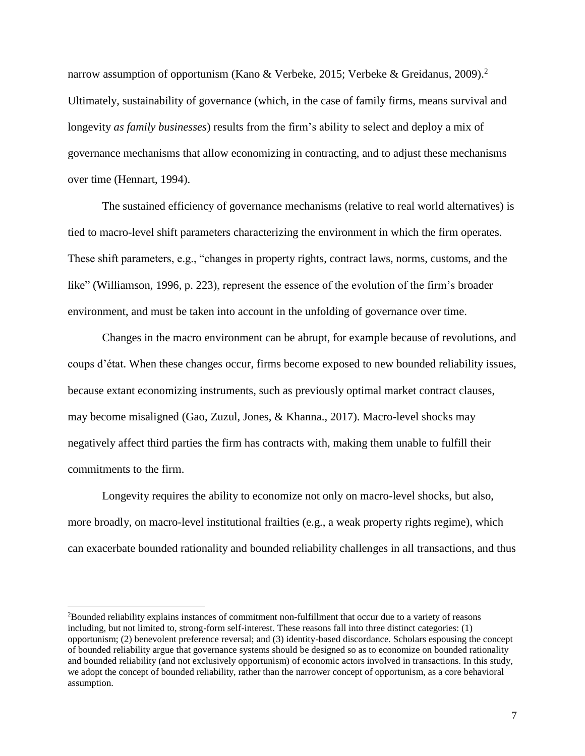narrow assumption of opportunism (Kano & Verbeke, 2015; Verbeke & Greidanus, 2009).<sup>2</sup> Ultimately, sustainability of governance (which, in the case of family firms, means survival and longevity *as family businesses*) results from the firm's ability to select and deploy a mix of governance mechanisms that allow economizing in contracting, and to adjust these mechanisms over time (Hennart, 1994).

The sustained efficiency of governance mechanisms (relative to real world alternatives) is tied to macro-level shift parameters characterizing the environment in which the firm operates. These shift parameters, e.g., "changes in property rights, contract laws, norms, customs, and the like" (Williamson, 1996, p. 223), represent the essence of the evolution of the firm's broader environment, and must be taken into account in the unfolding of governance over time.

Changes in the macro environment can be abrupt, for example because of revolutions, and coups d'état. When these changes occur, firms become exposed to new bounded reliability issues, because extant economizing instruments, such as previously optimal market contract clauses, may become misaligned (Gao, Zuzul, Jones, & Khanna., 2017). Macro-level shocks may negatively affect third parties the firm has contracts with, making them unable to fulfill their commitments to the firm.

Longevity requires the ability to economize not only on macro-level shocks, but also, more broadly, on macro-level institutional frailties (e.g., a weak property rights regime), which can exacerbate bounded rationality and bounded reliability challenges in all transactions, and thus

 $\overline{a}$ 

<sup>2</sup>Bounded reliability explains instances of commitment non-fulfillment that occur due to a variety of reasons including, but not limited to, strong-form self-interest. These reasons fall into three distinct categories: (1) opportunism; (2) benevolent preference reversal; and (3) identity-based discordance. Scholars espousing the concept of bounded reliability argue that governance systems should be designed so as to economize on bounded rationality and bounded reliability (and not exclusively opportunism) of economic actors involved in transactions. In this study, we adopt the concept of bounded reliability, rather than the narrower concept of opportunism, as a core behavioral assumption.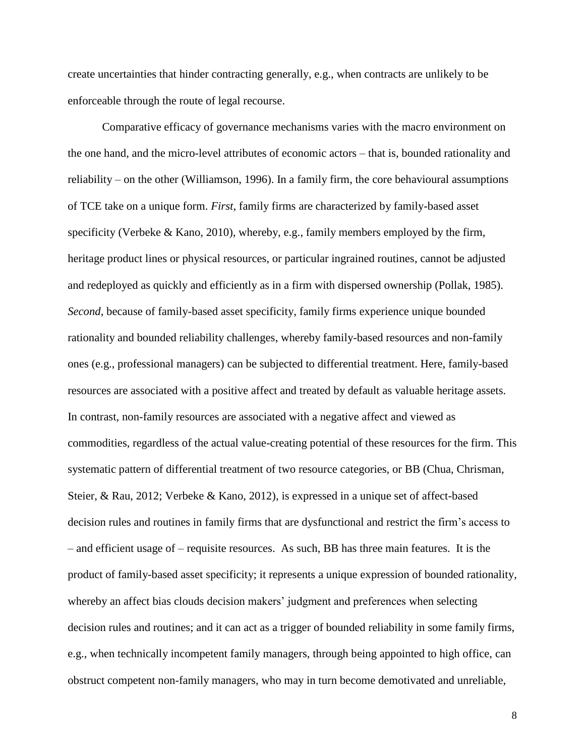create uncertainties that hinder contracting generally, e.g., when contracts are unlikely to be enforceable through the route of legal recourse.

Comparative efficacy of governance mechanisms varies with the macro environment on the one hand, and the micro-level attributes of economic actors – that is, bounded rationality and reliability – on the other (Williamson, 1996). In a family firm, the core behavioural assumptions of TCE take on a unique form. *First*, family firms are characterized by family-based asset specificity (Verbeke & Kano, 2010), whereby, e.g., family members employed by the firm, heritage product lines or physical resources, or particular ingrained routines, cannot be adjusted and redeployed as quickly and efficiently as in a firm with dispersed ownership (Pollak, 1985). *Second*, because of family-based asset specificity, family firms experience unique bounded rationality and bounded reliability challenges, whereby family-based resources and non-family ones (e.g., professional managers) can be subjected to differential treatment. Here, family-based resources are associated with a positive affect and treated by default as valuable heritage assets. In contrast, non-family resources are associated with a negative affect and viewed as commodities, regardless of the actual value-creating potential of these resources for the firm. This systematic pattern of differential treatment of two resource categories, or BB (Chua, Chrisman, Steier, & Rau, 2012; Verbeke & Kano, 2012), is expressed in a unique set of affect-based decision rules and routines in family firms that are dysfunctional and restrict the firm's access to – and efficient usage of – requisite resources. As such, BB has three main features. It is the product of family-based asset specificity; it represents a unique expression of bounded rationality, whereby an affect bias clouds decision makers' judgment and preferences when selecting decision rules and routines; and it can act as a trigger of bounded reliability in some family firms, e.g., when technically incompetent family managers, through being appointed to high office, can obstruct competent non-family managers, who may in turn become demotivated and unreliable,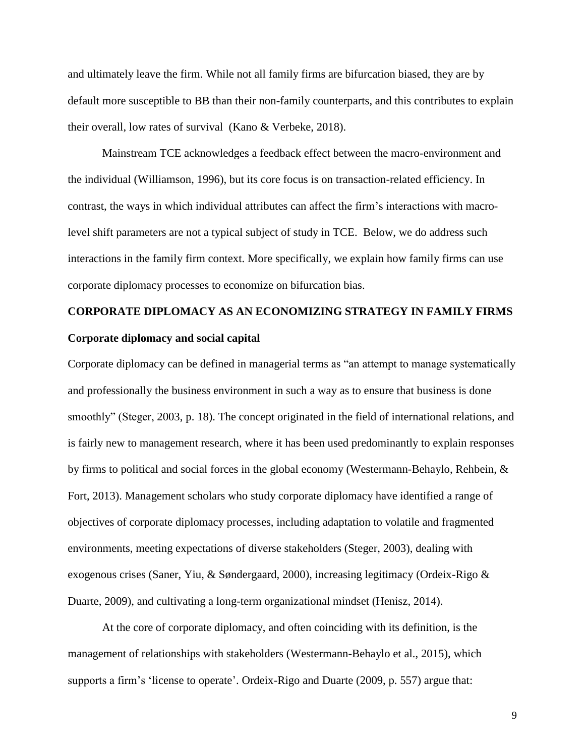and ultimately leave the firm. While not all family firms are bifurcation biased, they are by default more susceptible to BB than their non-family counterparts, and this contributes to explain their overall, low rates of survival (Kano & Verbeke, 2018).

Mainstream TCE acknowledges a feedback effect between the macro-environment and the individual (Williamson, 1996), but its core focus is on transaction-related efficiency. In contrast, the ways in which individual attributes can affect the firm's interactions with macrolevel shift parameters are not a typical subject of study in TCE. Below, we do address such interactions in the family firm context. More specifically, we explain how family firms can use corporate diplomacy processes to economize on bifurcation bias.

# **CORPORATE DIPLOMACY AS AN ECONOMIZING STRATEGY IN FAMILY FIRMS Corporate diplomacy and social capital**

Corporate diplomacy can be defined in managerial terms as "an attempt to manage systematically and professionally the business environment in such a way as to ensure that business is done smoothly" (Steger, 2003, p. 18). The concept originated in the field of international relations, and is fairly new to management research, where it has been used predominantly to explain responses by firms to political and social forces in the global economy (Westermann-Behaylo, Rehbein, & Fort, 2013). Management scholars who study corporate diplomacy have identified a range of objectives of corporate diplomacy processes, including adaptation to volatile and fragmented environments, meeting expectations of diverse stakeholders (Steger, 2003), dealing with exogenous crises (Saner, Yiu, & Søndergaard, 2000), increasing legitimacy (Ordeix-Rigo & Duarte, 2009), and cultivating a long-term organizational mindset (Henisz, 2014).

At the core of corporate diplomacy, and often coinciding with its definition, is the management of relationships with stakeholders (Westermann-Behaylo et al., 2015), which supports a firm's 'license to operate'. Ordeix-Rigo and Duarte (2009, p. 557) argue that: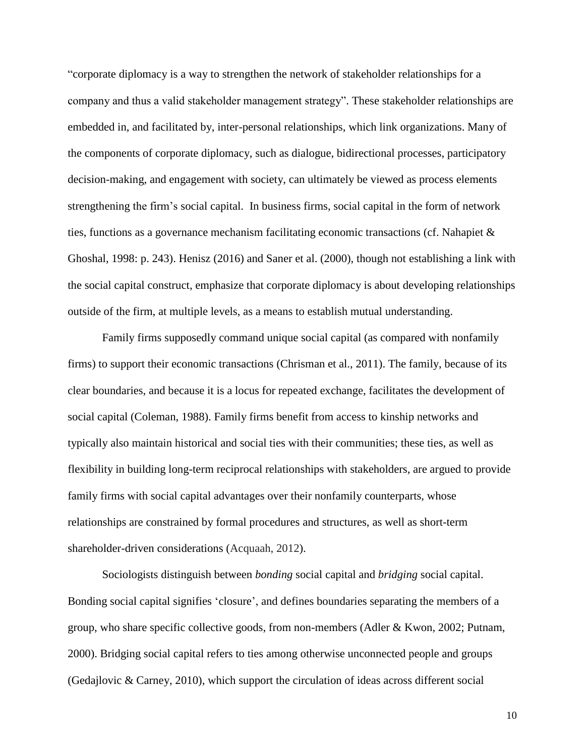"corporate diplomacy is a way to strengthen the network of stakeholder relationships for a company and thus a valid stakeholder management strategy". These stakeholder relationships are embedded in, and facilitated by, inter-personal relationships, which link organizations. Many of the components of corporate diplomacy, such as dialogue, bidirectional processes, participatory decision-making, and engagement with society, can ultimately be viewed as process elements strengthening the firm's social capital. In business firms, social capital in the form of network ties, functions as a governance mechanism facilitating economic transactions (cf. Nahapiet & Ghoshal, 1998: p. 243). Henisz (2016) and Saner et al. (2000), though not establishing a link with the social capital construct, emphasize that corporate diplomacy is about developing relationships outside of the firm, at multiple levels, as a means to establish mutual understanding.

Family firms supposedly command unique social capital (as compared with nonfamily firms) to support their economic transactions (Chrisman et al., 2011). The family, because of its clear boundaries, and because it is a locus for repeated exchange, facilitates the development of social capital (Coleman, 1988). Family firms benefit from access to kinship networks and typically also maintain historical and social ties with their communities; these ties, as well as flexibility in building long-term reciprocal relationships with stakeholders, are argued to provide family firms with social capital advantages over their nonfamily counterparts, whose relationships are constrained by formal procedures and structures, as well as short-term shareholder-driven considerations (Acquaah, 2012).

Sociologists distinguish between *bonding* social capital and *bridging* social capital. Bonding social capital signifies 'closure', and defines boundaries separating the members of a group, who share specific collective goods, from non-members (Adler & Kwon, 2002; Putnam, 2000). Bridging social capital refers to ties among otherwise unconnected people and groups (Gedajlovic & Carney, 2010), which support the circulation of ideas across different social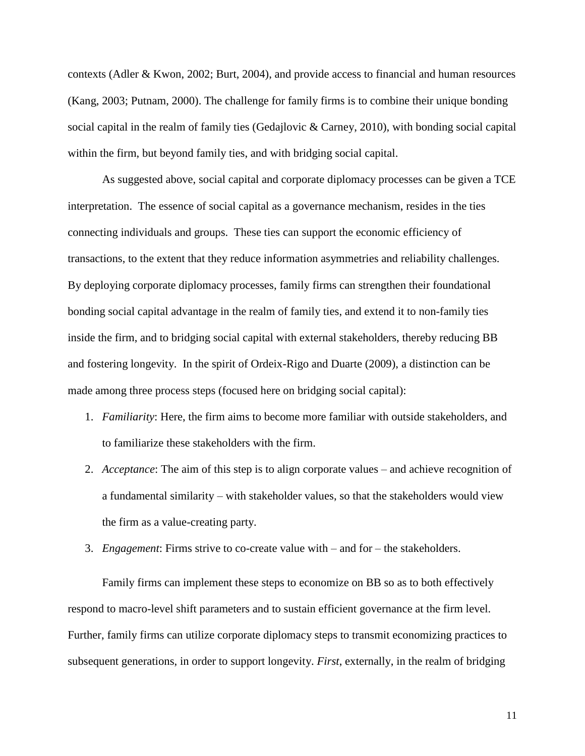contexts (Adler & Kwon, 2002; Burt, 2004), and provide access to financial and human resources (Kang, 2003; Putnam, 2000). The challenge for family firms is to combine their unique bonding social capital in the realm of family ties (Gedajlovic & Carney, 2010), with bonding social capital within the firm, but beyond family ties, and with bridging social capital.

As suggested above, social capital and corporate diplomacy processes can be given a TCE interpretation. The essence of social capital as a governance mechanism, resides in the ties connecting individuals and groups. These ties can support the economic efficiency of transactions, to the extent that they reduce information asymmetries and reliability challenges. By deploying corporate diplomacy processes, family firms can strengthen their foundational bonding social capital advantage in the realm of family ties, and extend it to non-family ties inside the firm, and to bridging social capital with external stakeholders, thereby reducing BB and fostering longevity. In the spirit of Ordeix-Rigo and Duarte (2009), a distinction can be made among three process steps (focused here on bridging social capital):

- 1. *Familiarity*: Here, the firm aims to become more familiar with outside stakeholders, and to familiarize these stakeholders with the firm.
- 2. *Acceptance*: The aim of this step is to align corporate values and achieve recognition of a fundamental similarity – with stakeholder values, so that the stakeholders would view the firm as a value-creating party.
- 3. *Engagement*: Firms strive to co-create value with and for the stakeholders.

Family firms can implement these steps to economize on BB so as to both effectively respond to macro-level shift parameters and to sustain efficient governance at the firm level. Further, family firms can utilize corporate diplomacy steps to transmit economizing practices to subsequent generations, in order to support longevity. *First*, externally, in the realm of bridging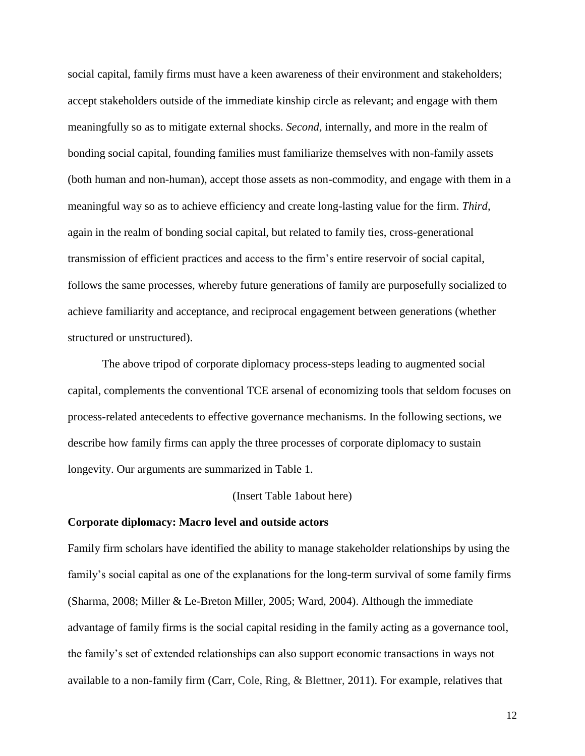social capital, family firms must have a keen awareness of their environment and stakeholders; accept stakeholders outside of the immediate kinship circle as relevant; and engage with them meaningfully so as to mitigate external shocks. *Second,* internally, and more in the realm of bonding social capital, founding families must familiarize themselves with non-family assets (both human and non-human), accept those assets as non-commodity, and engage with them in a meaningful way so as to achieve efficiency and create long-lasting value for the firm. *Third*, again in the realm of bonding social capital, but related to family ties, cross-generational transmission of efficient practices and access to the firm's entire reservoir of social capital, follows the same processes, whereby future generations of family are purposefully socialized to achieve familiarity and acceptance, and reciprocal engagement between generations (whether structured or unstructured).

The above tripod of corporate diplomacy process-steps leading to augmented social capital, complements the conventional TCE arsenal of economizing tools that seldom focuses on process-related antecedents to effective governance mechanisms. In the following sections, we describe how family firms can apply the three processes of corporate diplomacy to sustain longevity. Our arguments are summarized in Table 1.

#### (Insert Table 1about here)

#### **Corporate diplomacy: Macro level and outside actors**

Family firm scholars have identified the ability to manage stakeholder relationships by using the family's social capital as one of the explanations for the long-term survival of some family firms (Sharma, 2008; Miller & Le-Breton Miller, 2005; Ward, 2004). Although the immediate advantage of family firms is the social capital residing in the family acting as a governance tool, the family's set of extended relationships can also support economic transactions in ways not available to a non-family firm (Carr, Cole, Ring, & Blettner, 2011). For example, relatives that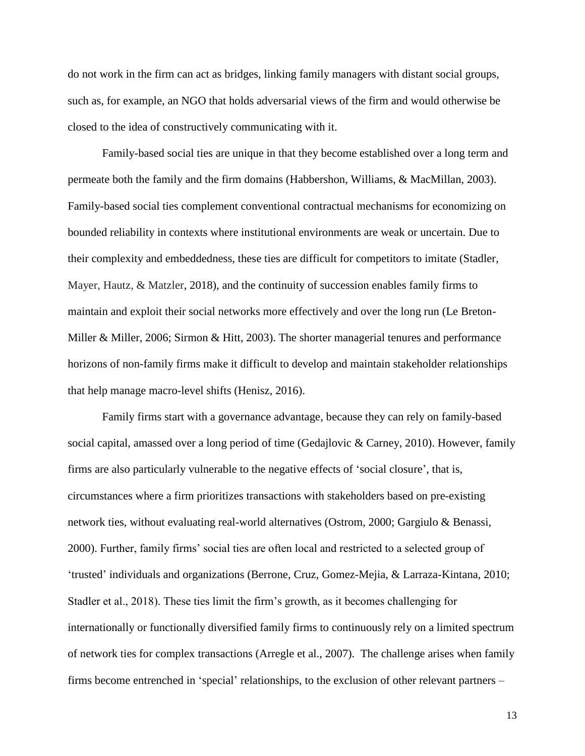do not work in the firm can act as bridges, linking family managers with distant social groups, such as, for example, an NGO that holds adversarial views of the firm and would otherwise be closed to the idea of constructively communicating with it.

Family-based social ties are unique in that they become established over a long term and permeate both the family and the firm domains (Habbershon, Williams, & MacMillan, 2003). Family-based social ties complement conventional contractual mechanisms for economizing on bounded reliability in contexts where institutional environments are weak or uncertain. Due to their complexity and embeddedness, these ties are difficult for competitors to imitate (Stadler, Mayer, Hautz, & Matzler, 2018), and the continuity of succession enables family firms to maintain and exploit their social networks more effectively and over the long run (Le Breton-Miller & Miller, 2006; Sirmon & Hitt, 2003). The shorter managerial tenures and performance horizons of non-family firms make it difficult to develop and maintain stakeholder relationships that help manage macro-level shifts (Henisz, 2016).

Family firms start with a governance advantage, because they can rely on family-based social capital, amassed over a long period of time (Gedajlovic & Carney, 2010). However, family firms are also particularly vulnerable to the negative effects of 'social closure', that is, circumstances where a firm prioritizes transactions with stakeholders based on pre-existing network ties, without evaluating real-world alternatives (Ostrom, 2000; Gargiulo & Benassi, 2000). Further, family firms' social ties are often local and restricted to a selected group of 'trusted' individuals and organizations (Berrone, Cruz, Gomez-Mejia, & Larraza-Kintana, 2010; Stadler et al., 2018). These ties limit the firm's growth, as it becomes challenging for internationally or functionally diversified family firms to continuously rely on a limited spectrum of network ties for complex transactions (Arregle et al., 2007). The challenge arises when family firms become entrenched in 'special' relationships, to the exclusion of other relevant partners –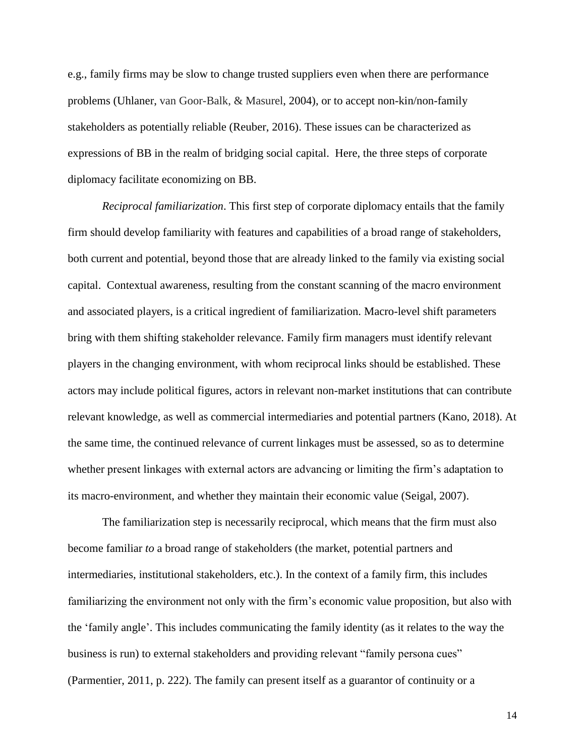e.g., family firms may be slow to change trusted suppliers even when there are performance problems (Uhlaner, van Goor-Balk, & Masurel, 2004), or to accept non-kin/non-family stakeholders as potentially reliable (Reuber, 2016). These issues can be characterized as expressions of BB in the realm of bridging social capital. Here, the three steps of corporate diplomacy facilitate economizing on BB.

*Reciprocal familiarization*. This first step of corporate diplomacy entails that the family firm should develop familiarity with features and capabilities of a broad range of stakeholders, both current and potential, beyond those that are already linked to the family via existing social capital. Contextual awareness, resulting from the constant scanning of the macro environment and associated players, is a critical ingredient of familiarization. Macro-level shift parameters bring with them shifting stakeholder relevance. Family firm managers must identify relevant players in the changing environment, with whom reciprocal links should be established. These actors may include political figures, actors in relevant non-market institutions that can contribute relevant knowledge, as well as commercial intermediaries and potential partners (Kano, 2018). At the same time, the continued relevance of current linkages must be assessed, so as to determine whether present linkages with external actors are advancing or limiting the firm's adaptation to its macro-environment, and whether they maintain their economic value (Seigal, 2007).

The familiarization step is necessarily reciprocal, which means that the firm must also become familiar *to* a broad range of stakeholders (the market, potential partners and intermediaries, institutional stakeholders, etc.). In the context of a family firm, this includes familiarizing the environment not only with the firm's economic value proposition, but also with the 'family angle'. This includes communicating the family identity (as it relates to the way the business is run) to external stakeholders and providing relevant "family persona cues" (Parmentier, 2011, p. 222). The family can present itself as a guarantor of continuity or a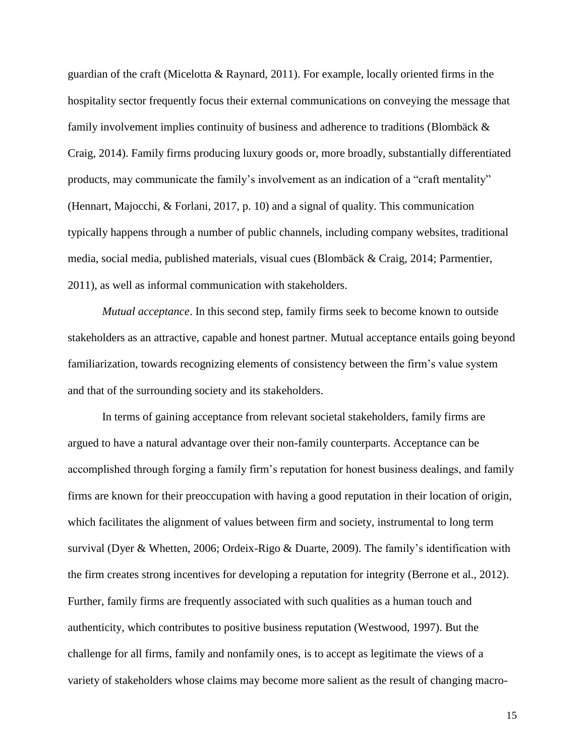guardian of the craft (Micelotta & Raynard, 2011). For example, locally oriented firms in the hospitality sector frequently focus their external communications on conveying the message that family involvement implies continuity of business and adherence to traditions (Blombäck & Craig, 2014). Family firms producing luxury goods or, more broadly, substantially differentiated products, may communicate the family's involvement as an indication of a "craft mentality" (Hennart, Majocchi, & Forlani, 2017, p. 10) and a signal of quality. This communication typically happens through a number of public channels, including company websites, traditional media, social media, published materials, visual cues (Blombäck & Craig, 2014; Parmentier, 2011), as well as informal communication with stakeholders.

*Mutual acceptance*. In this second step, family firms seek to become known to outside stakeholders as an attractive, capable and honest partner. Mutual acceptance entails going beyond familiarization, towards recognizing elements of consistency between the firm's value system and that of the surrounding society and its stakeholders.

In terms of gaining acceptance from relevant societal stakeholders, family firms are argued to have a natural advantage over their non-family counterparts. Acceptance can be accomplished through forging a family firm's reputation for honest business dealings, and family firms are known for their preoccupation with having a good reputation in their location of origin, which facilitates the alignment of values between firm and society, instrumental to long term survival (Dyer & Whetten, 2006; Ordeix-Rigo & Duarte, 2009). The family's identification with the firm creates strong incentives for developing a reputation for integrity (Berrone et al., 2012). Further, family firms are frequently associated with such qualities as a human touch and authenticity, which contributes to positive business reputation (Westwood, 1997). But the challenge for all firms, family and nonfamily ones, is to accept as legitimate the views of a variety of stakeholders whose claims may become more salient as the result of changing macro-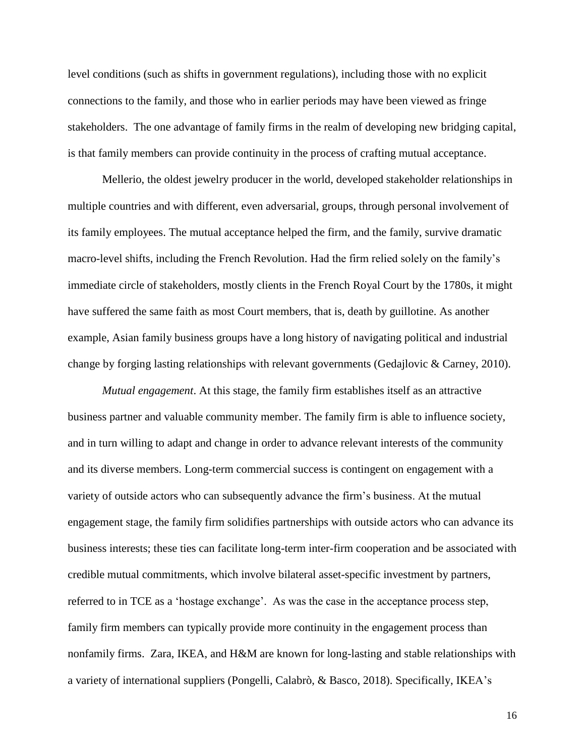level conditions (such as shifts in government regulations), including those with no explicit connections to the family, and those who in earlier periods may have been viewed as fringe stakeholders. The one advantage of family firms in the realm of developing new bridging capital, is that family members can provide continuity in the process of crafting mutual acceptance.

Mellerio, the oldest jewelry producer in the world, developed stakeholder relationships in multiple countries and with different, even adversarial, groups, through personal involvement of its family employees. The mutual acceptance helped the firm, and the family, survive dramatic macro-level shifts, including the French Revolution. Had the firm relied solely on the family's immediate circle of stakeholders, mostly clients in the French Royal Court by the 1780s, it might have suffered the same faith as most Court members, that is, death by guillotine. As another example, Asian family business groups have a long history of navigating political and industrial change by forging lasting relationships with relevant governments (Gedajlovic & Carney, 2010).

*Mutual engagement*. At this stage, the family firm establishes itself as an attractive business partner and valuable community member. The family firm is able to influence society, and in turn willing to adapt and change in order to advance relevant interests of the community and its diverse members. Long-term commercial success is contingent on engagement with a variety of outside actors who can subsequently advance the firm's business. At the mutual engagement stage, the family firm solidifies partnerships with outside actors who can advance its business interests; these ties can facilitate long-term inter-firm cooperation and be associated with credible mutual commitments, which involve bilateral asset-specific investment by partners, referred to in TCE as a 'hostage exchange'. As was the case in the acceptance process step, family firm members can typically provide more continuity in the engagement process than nonfamily firms. Zara, IKEA, and H&M are known for long-lasting and stable relationships with a variety of international suppliers (Pongelli, Calabrò, & Basco, 2018). Specifically, IKEA's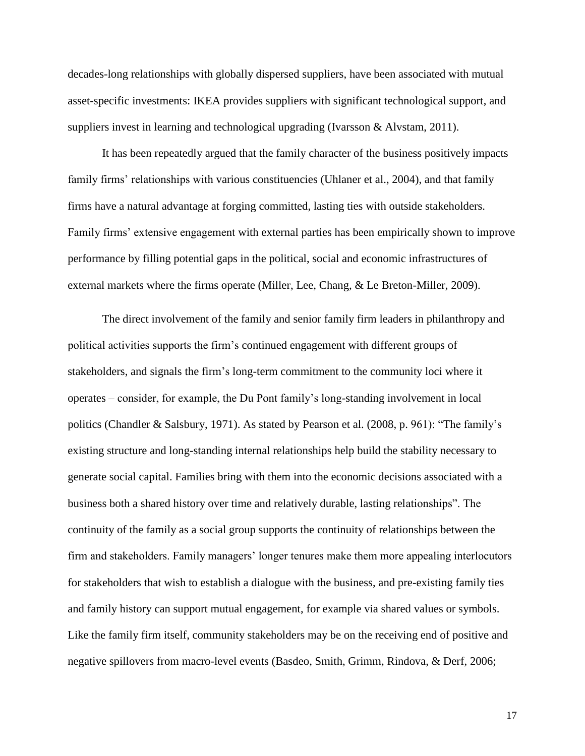decades-long relationships with globally dispersed suppliers, have been associated with mutual asset-specific investments: IKEA provides suppliers with significant technological support, and suppliers invest in learning and technological upgrading (Ivarsson & Alvstam, 2011).

It has been repeatedly argued that the family character of the business positively impacts family firms' relationships with various constituencies (Uhlaner et al., 2004), and that family firms have a natural advantage at forging committed, lasting ties with outside stakeholders. Family firms' extensive engagement with external parties has been empirically shown to improve performance by filling potential gaps in the political, social and economic infrastructures of external markets where the firms operate (Miller, Lee, Chang, & Le Breton-Miller, 2009).

The direct involvement of the family and senior family firm leaders in philanthropy and political activities supports the firm's continued engagement with different groups of stakeholders, and signals the firm's long-term commitment to the community loci where it operates – consider, for example, the Du Pont family's long-standing involvement in local politics (Chandler & Salsbury, 1971). As stated by Pearson et al. (2008, p. 961): "The family's existing structure and long-standing internal relationships help build the stability necessary to generate social capital. Families bring with them into the economic decisions associated with a business both a shared history over time and relatively durable, lasting relationships". The continuity of the family as a social group supports the continuity of relationships between the firm and stakeholders. Family managers' longer tenures make them more appealing interlocutors for stakeholders that wish to establish a dialogue with the business, and pre-existing family ties and family history can support mutual engagement, for example via shared values or symbols. Like the family firm itself, community stakeholders may be on the receiving end of positive and negative spillovers from macro-level events (Basdeo, Smith, Grimm, Rindova, & Derf, 2006;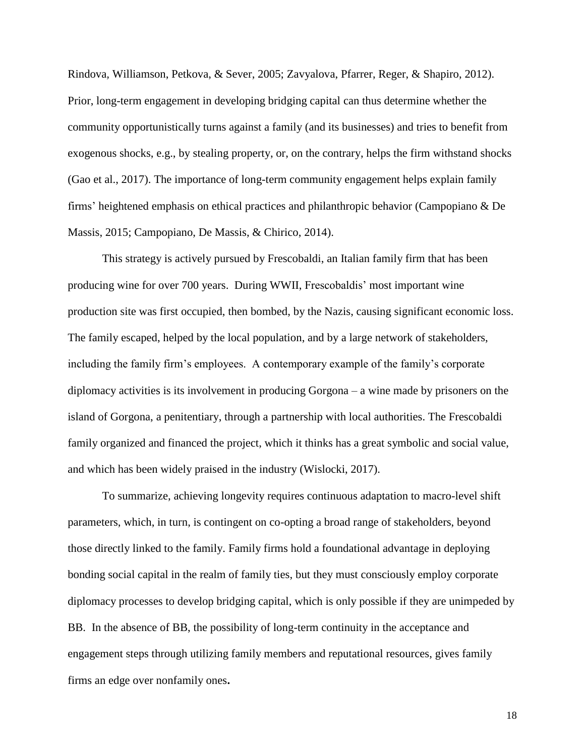Rindova*,* Williamson, Petkova, & Sever, 2005; Zavyalova, Pfarrer, Reger, & Shapiro, 2012). Prior, long-term engagement in developing bridging capital can thus determine whether the community opportunistically turns against a family (and its businesses) and tries to benefit from exogenous shocks, e.g., by stealing property, or, on the contrary, helps the firm withstand shocks (Gao et al., 2017). The importance of long-term community engagement helps explain family firms' heightened emphasis on ethical practices and philanthropic behavior (Campopiano & De Massis, 2015; Campopiano, De Massis, & Chirico, 2014).

This strategy is actively pursued by Frescobaldi, an Italian family firm that has been producing wine for over 700 years. During WWII, Frescobaldis' most important wine production site was first occupied, then bombed, by the Nazis, causing significant economic loss. The family escaped, helped by the local population, and by a large network of stakeholders, including the family firm's employees. A contemporary example of the family's corporate diplomacy activities is its involvement in producing Gorgona – a wine made by prisoners on the island of Gorgona, a penitentiary, through a partnership with local authorities. The Frescobaldi family organized and financed the project, which it thinks has a great symbolic and social value, and which has been widely praised in the industry (Wislocki, 2017).

To summarize, achieving longevity requires continuous adaptation to macro-level shift parameters, which, in turn, is contingent on co-opting a broad range of stakeholders, beyond those directly linked to the family. Family firms hold a foundational advantage in deploying bonding social capital in the realm of family ties, but they must consciously employ corporate diplomacy processes to develop bridging capital, which is only possible if they are unimpeded by BB. In the absence of BB, the possibility of long-term continuity in the acceptance and engagement steps through utilizing family members and reputational resources, gives family firms an edge over nonfamily ones**.**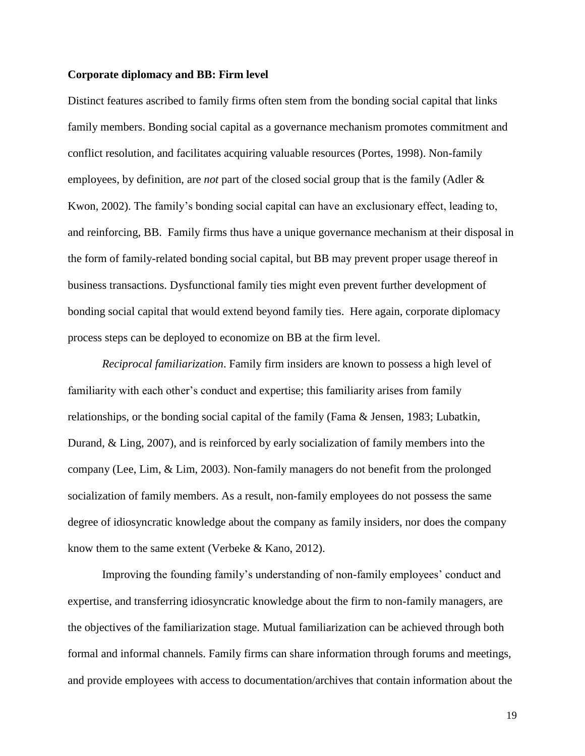#### **Corporate diplomacy and BB: Firm level**

Distinct features ascribed to family firms often stem from the bonding social capital that links family members. Bonding social capital as a governance mechanism promotes commitment and conflict resolution, and facilitates acquiring valuable resources (Portes, 1998). Non-family employees, by definition, are *not* part of the closed social group that is the family (Adler & Kwon, 2002). The family's bonding social capital can have an exclusionary effect, leading to, and reinforcing, BB. Family firms thus have a unique governance mechanism at their disposal in the form of family-related bonding social capital, but BB may prevent proper usage thereof in business transactions. Dysfunctional family ties might even prevent further development of bonding social capital that would extend beyond family ties. Here again, corporate diplomacy process steps can be deployed to economize on BB at the firm level.

*Reciprocal familiarization*. Family firm insiders are known to possess a high level of familiarity with each other's conduct and expertise; this familiarity arises from family relationships, or the bonding social capital of the family (Fama & Jensen, 1983; Lubatkin, Durand, & Ling, 2007), and is reinforced by early socialization of family members into the company (Lee, Lim, & Lim, 2003). Non-family managers do not benefit from the prolonged socialization of family members. As a result, non-family employees do not possess the same degree of idiosyncratic knowledge about the company as family insiders, nor does the company know them to the same extent (Verbeke & Kano, 2012).

Improving the founding family's understanding of non-family employees' conduct and expertise, and transferring idiosyncratic knowledge about the firm to non-family managers, are the objectives of the familiarization stage. Mutual familiarization can be achieved through both formal and informal channels. Family firms can share information through forums and meetings, and provide employees with access to documentation/archives that contain information about the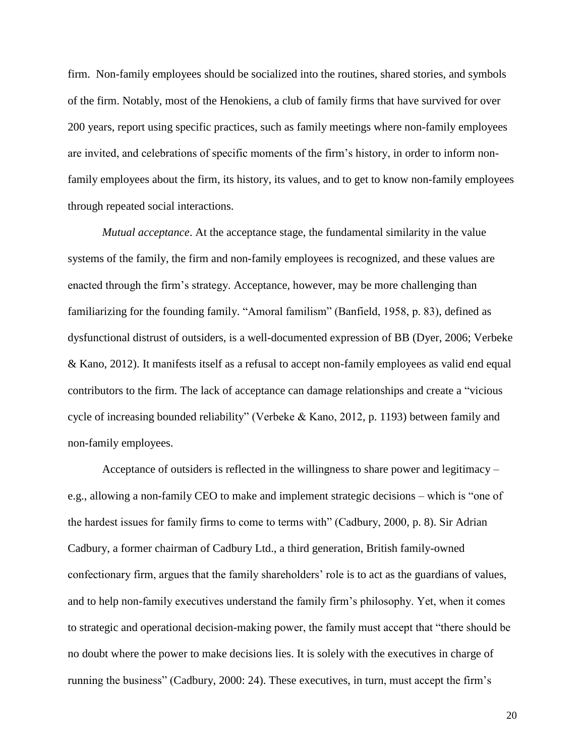firm. Non-family employees should be socialized into the routines, shared stories, and symbols of the firm. Notably, most of the Henokiens, a club of family firms that have survived for over 200 years, report using specific practices, such as family meetings where non-family employees are invited, and celebrations of specific moments of the firm's history, in order to inform nonfamily employees about the firm, its history, its values, and to get to know non-family employees through repeated social interactions.

*Mutual acceptance*. At the acceptance stage, the fundamental similarity in the value systems of the family, the firm and non-family employees is recognized, and these values are enacted through the firm's strategy. Acceptance, however, may be more challenging than familiarizing for the founding family. "Amoral familism" (Banfield, 1958, p. 83), defined as dysfunctional distrust of outsiders, is a well-documented expression of BB (Dyer, 2006; Verbeke & Kano, 2012). It manifests itself as a refusal to accept non-family employees as valid end equal contributors to the firm. The lack of acceptance can damage relationships and create a "vicious cycle of increasing bounded reliability" (Verbeke & Kano, 2012, p. 1193) between family and non-family employees.

Acceptance of outsiders is reflected in the willingness to share power and legitimacy – e.g., allowing a non-family CEO to make and implement strategic decisions – which is "one of the hardest issues for family firms to come to terms with" (Cadbury, 2000, p. 8). Sir Adrian Cadbury, a former chairman of Cadbury Ltd., a third generation, British family-owned confectionary firm, argues that the family shareholders' role is to act as the guardians of values, and to help non-family executives understand the family firm's philosophy. Yet, when it comes to strategic and operational decision-making power, the family must accept that "there should be no doubt where the power to make decisions lies. It is solely with the executives in charge of running the business" (Cadbury, 2000: 24). These executives, in turn, must accept the firm's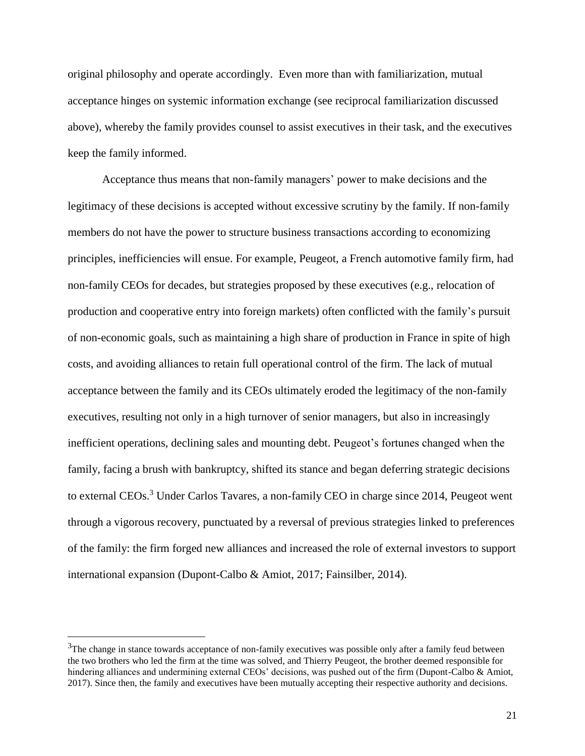original philosophy and operate accordingly. Even more than with familiarization, mutual acceptance hinges on systemic information exchange (see reciprocal familiarization discussed above), whereby the family provides counsel to assist executives in their task, and the executives keep the family informed.

Acceptance thus means that non-family managers' power to make decisions and the legitimacy of these decisions is accepted without excessive scrutiny by the family. If non-family members do not have the power to structure business transactions according to economizing principles, inefficiencies will ensue. For example, Peugeot, a French automotive family firm, had non-family CEOs for decades, but strategies proposed by these executives (e.g., relocation of production and cooperative entry into foreign markets) often conflicted with the family's pursuit of non-economic goals, such as maintaining a high share of production in France in spite of high costs, and avoiding alliances to retain full operational control of the firm. The lack of mutual acceptance between the family and its CEOs ultimately eroded the legitimacy of the non-family executives, resulting not only in a high turnover of senior managers, but also in increasingly inefficient operations, declining sales and mounting debt. Peugeot's fortunes changed when the family, facing a brush with bankruptcy, shifted its stance and began deferring strategic decisions to external CEOs.<sup>3</sup> Under Carlos Tavares, a non-family CEO in charge since 2014, Peugeot went through a vigorous recovery, punctuated by a reversal of previous strategies linked to preferences of the family: the firm forged new alliances and increased the role of external investors to support international expansion (Dupont-Calbo & Amiot, 2017; Fainsilber, 2014).

 $\overline{a}$ 

<sup>&</sup>lt;sup>3</sup>The change in stance towards acceptance of non-family executives was possible only after a family feud between the two brothers who led the firm at the time was solved, and Thierry Peugeot, the brother deemed responsible for hindering alliances and undermining external CEOs' decisions, was pushed out of the firm (Dupont-Calbo & Amiot, 2017). Since then, the family and executives have been mutually accepting their respective authority and decisions.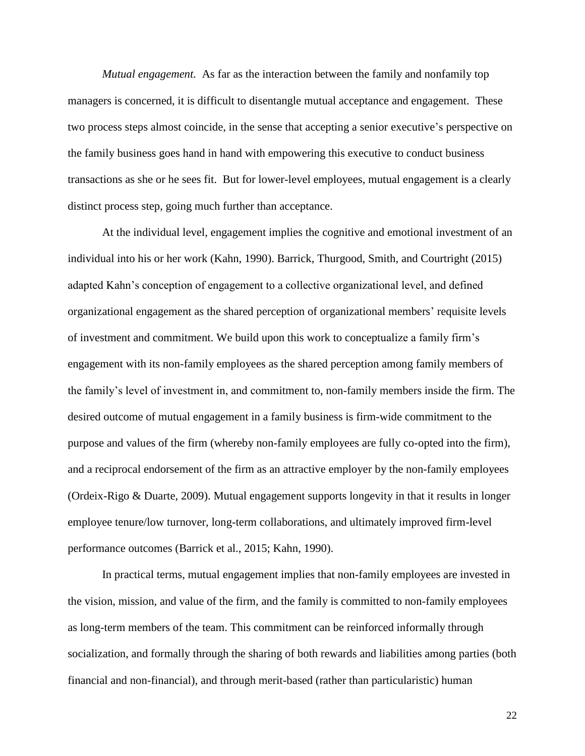*Mutual engagement.* As far as the interaction between the family and nonfamily top managers is concerned, it is difficult to disentangle mutual acceptance and engagement. These two process steps almost coincide, in the sense that accepting a senior executive's perspective on the family business goes hand in hand with empowering this executive to conduct business transactions as she or he sees fit. But for lower-level employees, mutual engagement is a clearly distinct process step, going much further than acceptance.

At the individual level, engagement implies the cognitive and emotional investment of an individual into his or her work (Kahn, 1990). Barrick, Thurgood, Smith, and Courtright (2015) adapted Kahn's conception of engagement to a collective organizational level, and defined organizational engagement as the shared perception of organizational members' requisite levels of investment and commitment. We build upon this work to conceptualize a family firm's engagement with its non-family employees as the shared perception among family members of the family's level of investment in, and commitment to, non-family members inside the firm. The desired outcome of mutual engagement in a family business is firm-wide commitment to the purpose and values of the firm (whereby non-family employees are fully co-opted into the firm), and a reciprocal endorsement of the firm as an attractive employer by the non-family employees (Ordeix-Rigo & Duarte, 2009). Mutual engagement supports longevity in that it results in longer employee tenure/low turnover, long-term collaborations, and ultimately improved firm-level performance outcomes (Barrick et al., 2015; Kahn, 1990).

In practical terms, mutual engagement implies that non-family employees are invested in the vision, mission, and value of the firm, and the family is committed to non-family employees as long-term members of the team. This commitment can be reinforced informally through socialization, and formally through the sharing of both rewards and liabilities among parties (both financial and non-financial), and through merit-based (rather than particularistic) human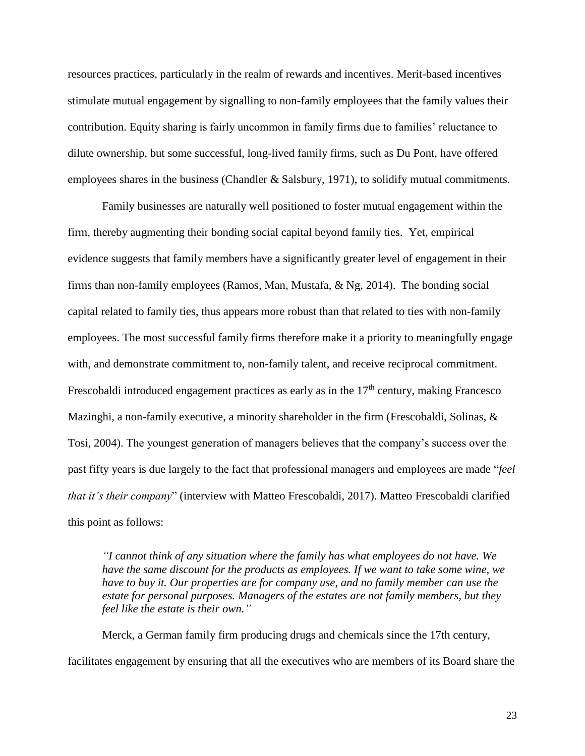resources practices, particularly in the realm of rewards and incentives. Merit-based incentives stimulate mutual engagement by signalling to non-family employees that the family values their contribution. Equity sharing is fairly uncommon in family firms due to families' reluctance to dilute ownership, but some successful, long-lived family firms, such as Du Pont, have offered employees shares in the business (Chandler & Salsbury, 1971), to solidify mutual commitments.

Family businesses are naturally well positioned to foster mutual engagement within the firm, thereby augmenting their bonding social capital beyond family ties. Yet, empirical evidence suggests that family members have a significantly greater level of engagement in their firms than non-family employees (Ramos, Man, Mustafa, & Ng, 2014). The bonding social capital related to family ties, thus appears more robust than that related to ties with non-family employees. The most successful family firms therefore make it a priority to meaningfully engage with, and demonstrate commitment to, non-family talent, and receive reciprocal commitment. Frescobaldi introduced engagement practices as early as in the  $17<sup>th</sup>$  century, making Francesco Mazinghi, a non-family executive, a minority shareholder in the firm (Frescobaldi, Solinas, & Tosi, 2004). The youngest generation of managers believes that the company's success over the past fifty years is due largely to the fact that professional managers and employees are made "*feel that it's their company*" (interview with Matteo Frescobaldi, 2017). Matteo Frescobaldi clarified this point as follows:

*"I cannot think of any situation where the family has what employees do not have. We have the same discount for the products as employees. If we want to take some wine, we have to buy it. Our properties are for company use, and no family member can use the estate for personal purposes. Managers of the estates are not family members, but they feel like the estate is their own."*

Merck, a German family firm producing drugs and chemicals since the 17th century, facilitates engagement by ensuring that all the executives who are members of its Board share the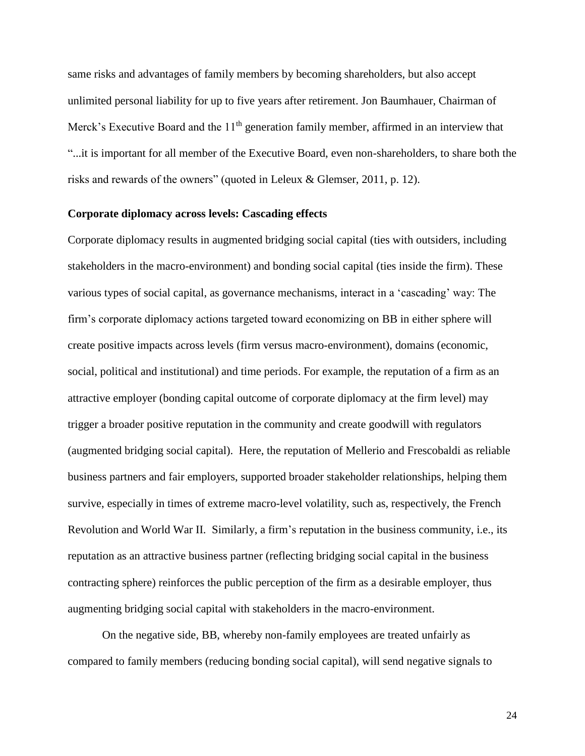same risks and advantages of family members by becoming shareholders, but also accept unlimited personal liability for up to five years after retirement. Jon Baumhauer, Chairman of Merck's Executive Board and the  $11<sup>th</sup>$  generation family member, affirmed in an interview that "...it is important for all member of the Executive Board, even non-shareholders, to share both the risks and rewards of the owners" (quoted in Leleux & Glemser, 2011, p. 12).

#### **Corporate diplomacy across levels: Cascading effects**

Corporate diplomacy results in augmented bridging social capital (ties with outsiders, including stakeholders in the macro-environment) and bonding social capital (ties inside the firm). These various types of social capital, as governance mechanisms, interact in a 'cascading' way: The firm's corporate diplomacy actions targeted toward economizing on BB in either sphere will create positive impacts across levels (firm versus macro-environment), domains (economic, social, political and institutional) and time periods. For example, the reputation of a firm as an attractive employer (bonding capital outcome of corporate diplomacy at the firm level) may trigger a broader positive reputation in the community and create goodwill with regulators (augmented bridging social capital). Here, the reputation of Mellerio and Frescobaldi as reliable business partners and fair employers, supported broader stakeholder relationships, helping them survive, especially in times of extreme macro-level volatility, such as, respectively, the French Revolution and World War II. Similarly, a firm's reputation in the business community, i.e., its reputation as an attractive business partner (reflecting bridging social capital in the business contracting sphere) reinforces the public perception of the firm as a desirable employer, thus augmenting bridging social capital with stakeholders in the macro-environment.

On the negative side, BB, whereby non-family employees are treated unfairly as compared to family members (reducing bonding social capital), will send negative signals to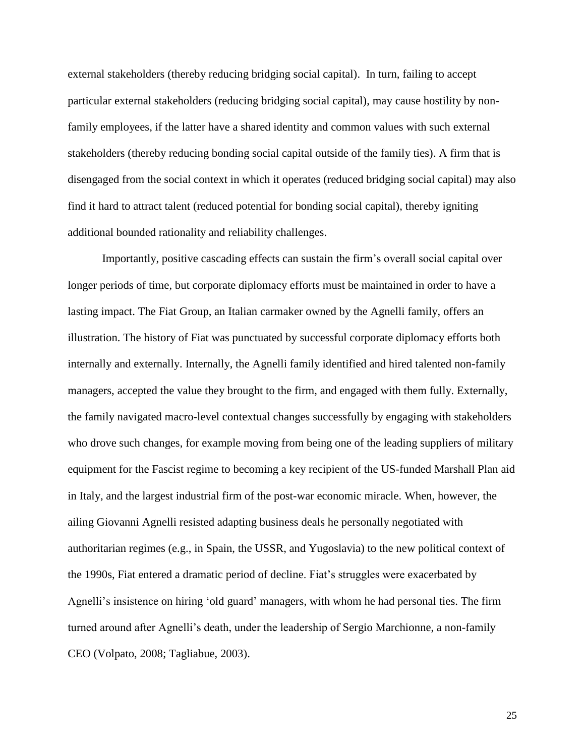external stakeholders (thereby reducing bridging social capital). In turn, failing to accept particular external stakeholders (reducing bridging social capital), may cause hostility by nonfamily employees, if the latter have a shared identity and common values with such external stakeholders (thereby reducing bonding social capital outside of the family ties). A firm that is disengaged from the social context in which it operates (reduced bridging social capital) may also find it hard to attract talent (reduced potential for bonding social capital), thereby igniting additional bounded rationality and reliability challenges.

Importantly, positive cascading effects can sustain the firm's overall social capital over longer periods of time, but corporate diplomacy efforts must be maintained in order to have a lasting impact. The Fiat Group, an Italian carmaker owned by the Agnelli family, offers an illustration. The history of Fiat was punctuated by successful corporate diplomacy efforts both internally and externally. Internally, the Agnelli family identified and hired talented non-family managers, accepted the value they brought to the firm, and engaged with them fully. Externally, the family navigated macro-level contextual changes successfully by engaging with stakeholders who drove such changes, for example moving from being one of the leading suppliers of military equipment for the Fascist regime to becoming a key recipient of the US-funded Marshall Plan aid in Italy, and the largest industrial firm of the post-war economic miracle. When, however, the ailing Giovanni Agnelli resisted adapting business deals he personally negotiated with authoritarian regimes (e.g., in Spain, the USSR, and Yugoslavia) to the new political context of the 1990s, Fiat entered a dramatic period of decline. Fiat's struggles were exacerbated by Agnelli's insistence on hiring 'old guard' managers, with whom he had personal ties. The firm turned around after Agnelli's death, under the leadership of Sergio Marchionne, a non-family CEO (Volpato, 2008; Tagliabue, 2003).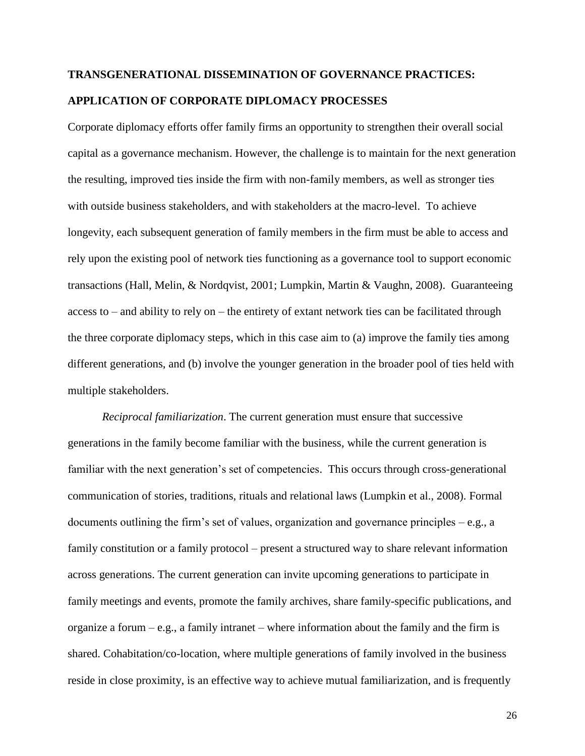# **TRANSGENERATIONAL DISSEMINATION OF GOVERNANCE PRACTICES: APPLICATION OF CORPORATE DIPLOMACY PROCESSES**

Corporate diplomacy efforts offer family firms an opportunity to strengthen their overall social capital as a governance mechanism. However, the challenge is to maintain for the next generation the resulting, improved ties inside the firm with non-family members, as well as stronger ties with outside business stakeholders, and with stakeholders at the macro-level. To achieve longevity, each subsequent generation of family members in the firm must be able to access and rely upon the existing pool of network ties functioning as a governance tool to support economic transactions (Hall, Melin, & Nordqvist, 2001; Lumpkin, Martin & Vaughn, 2008). Guaranteeing access to – and ability to rely on – the entirety of extant network ties can be facilitated through the three corporate diplomacy steps, which in this case aim to (a) improve the family ties among different generations, and (b) involve the younger generation in the broader pool of ties held with multiple stakeholders.

*Reciprocal familiarization*. The current generation must ensure that successive generations in the family become familiar with the business, while the current generation is familiar with the next generation's set of competencies. This occurs through cross-generational communication of stories, traditions, rituals and relational laws (Lumpkin et al., 2008). Formal documents outlining the firm's set of values, organization and governance principles – e.g., a family constitution or a family protocol – present a structured way to share relevant information across generations. The current generation can invite upcoming generations to participate in family meetings and events, promote the family archives, share family-specific publications, and organize a forum – e.g., a family intranet – where information about the family and the firm is shared. Cohabitation/co-location, where multiple generations of family involved in the business reside in close proximity, is an effective way to achieve mutual familiarization, and is frequently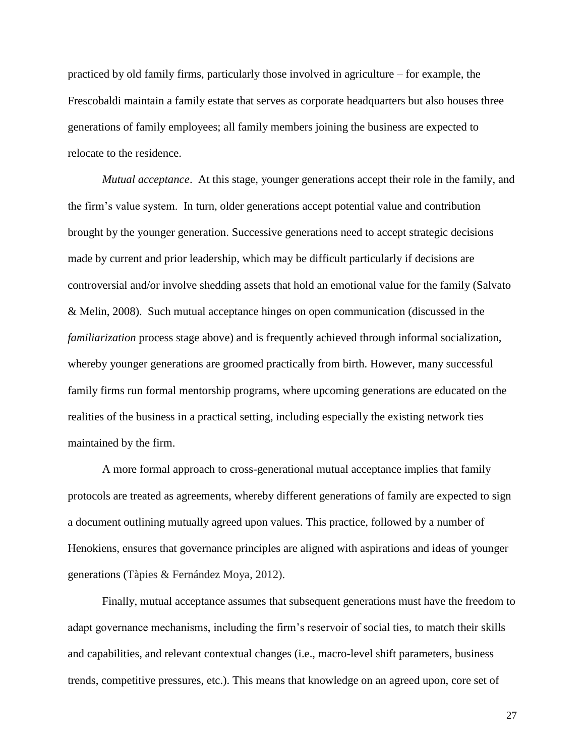practiced by old family firms, particularly those involved in agriculture – for example, the Frescobaldi maintain a family estate that serves as corporate headquarters but also houses three generations of family employees; all family members joining the business are expected to relocate to the residence.

*Mutual acceptance*. At this stage, younger generations accept their role in the family, and the firm's value system. In turn, older generations accept potential value and contribution brought by the younger generation. Successive generations need to accept strategic decisions made by current and prior leadership, which may be difficult particularly if decisions are controversial and/or involve shedding assets that hold an emotional value for the family (Salvato & Melin, 2008). Such mutual acceptance hinges on open communication (discussed in the *familiarization* process stage above) and is frequently achieved through informal socialization, whereby younger generations are groomed practically from birth. However, many successful family firms run formal mentorship programs, where upcoming generations are educated on the realities of the business in a practical setting, including especially the existing network ties maintained by the firm.

A more formal approach to cross-generational mutual acceptance implies that family protocols are treated as agreements, whereby different generations of family are expected to sign a document outlining mutually agreed upon values. This practice, followed by a number of Henokiens, ensures that governance principles are aligned with aspirations and ideas of younger generations (Tàpies & Fernández Moya, 2012).

Finally, mutual acceptance assumes that subsequent generations must have the freedom to adapt governance mechanisms, including the firm's reservoir of social ties, to match their skills and capabilities, and relevant contextual changes (i.e., macro-level shift parameters, business trends, competitive pressures, etc.). This means that knowledge on an agreed upon, core set of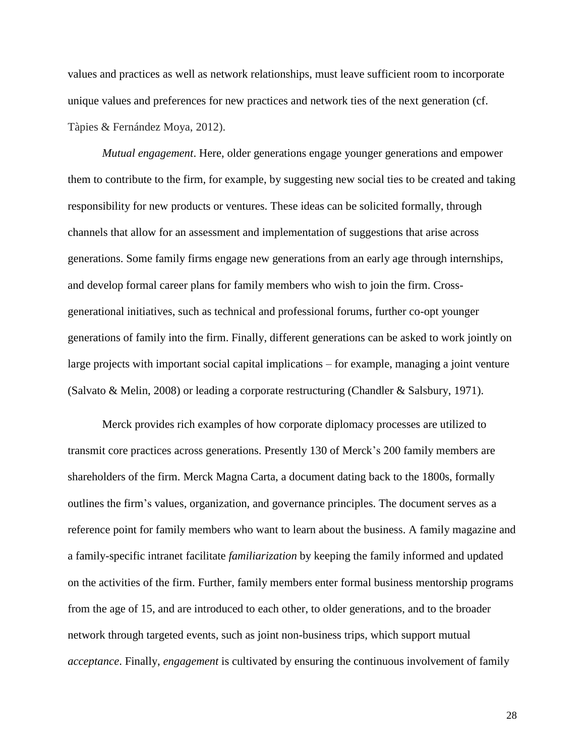values and practices as well as network relationships, must leave sufficient room to incorporate unique values and preferences for new practices and network ties of the next generation (cf. Tàpies & Fernández Moya, 2012).

*Mutual engagement*. Here, older generations engage younger generations and empower them to contribute to the firm, for example, by suggesting new social ties to be created and taking responsibility for new products or ventures. These ideas can be solicited formally, through channels that allow for an assessment and implementation of suggestions that arise across generations. Some family firms engage new generations from an early age through internships, and develop formal career plans for family members who wish to join the firm. Crossgenerational initiatives, such as technical and professional forums, further co-opt younger generations of family into the firm. Finally, different generations can be asked to work jointly on large projects with important social capital implications – for example, managing a joint venture (Salvato & Melin, 2008) or leading a corporate restructuring (Chandler & Salsbury, 1971).

Merck provides rich examples of how corporate diplomacy processes are utilized to transmit core practices across generations. Presently 130 of Merck's 200 family members are shareholders of the firm. Merck Magna Carta, a document dating back to the 1800s, formally outlines the firm's values, organization, and governance principles. The document serves as a reference point for family members who want to learn about the business. A family magazine and a family-specific intranet facilitate *familiarization* by keeping the family informed and updated on the activities of the firm. Further, family members enter formal business mentorship programs from the age of 15, and are introduced to each other, to older generations, and to the broader network through targeted events*,* such as joint non-business trips, which support mutual *acceptance*. Finally, *engagement* is cultivated by ensuring the continuous involvement of family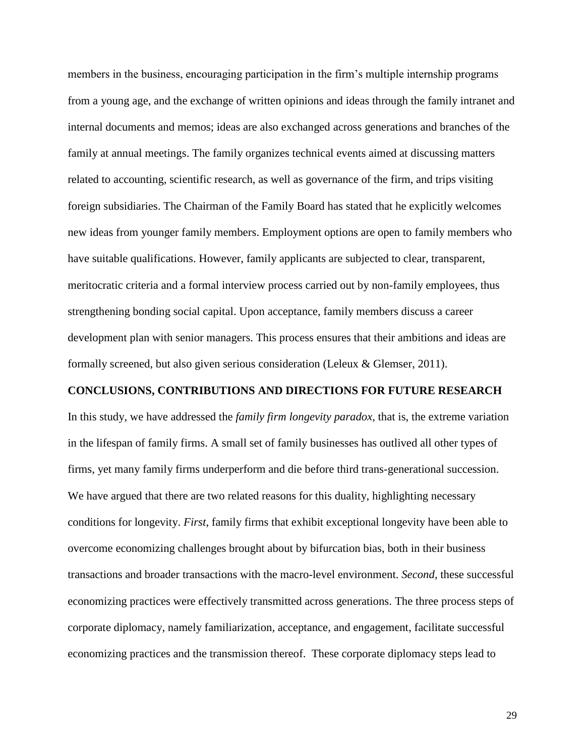members in the business, encouraging participation in the firm's multiple internship programs from a young age, and the exchange of written opinions and ideas through the family intranet and internal documents and memos; ideas are also exchanged across generations and branches of the family at annual meetings. The family organizes technical events aimed at discussing matters related to accounting, scientific research, as well as governance of the firm, and trips visiting foreign subsidiaries. The Chairman of the Family Board has stated that he explicitly welcomes new ideas from younger family members. Employment options are open to family members who have suitable qualifications. However, family applicants are subjected to clear, transparent, meritocratic criteria and a formal interview process carried out by non-family employees, thus strengthening bonding social capital. Upon acceptance, family members discuss a career development plan with senior managers. This process ensures that their ambitions and ideas are formally screened, but also given serious consideration (Leleux & Glemser, 2011).

### **CONCLUSIONS, CONTRIBUTIONS AND DIRECTIONS FOR FUTURE RESEARCH**

In this study, we have addressed the *family firm longevity paradox*, that is, the extreme variation in the lifespan of family firms. A small set of family businesses has outlived all other types of firms, yet many family firms underperform and die before third trans-generational succession. We have argued that there are two related reasons for this duality, highlighting necessary conditions for longevity. *First*, family firms that exhibit exceptional longevity have been able to overcome economizing challenges brought about by bifurcation bias, both in their business transactions and broader transactions with the macro-level environment. *Second*, these successful economizing practices were effectively transmitted across generations. The three process steps of corporate diplomacy, namely familiarization, acceptance, and engagement, facilitate successful economizing practices and the transmission thereof. These corporate diplomacy steps lead to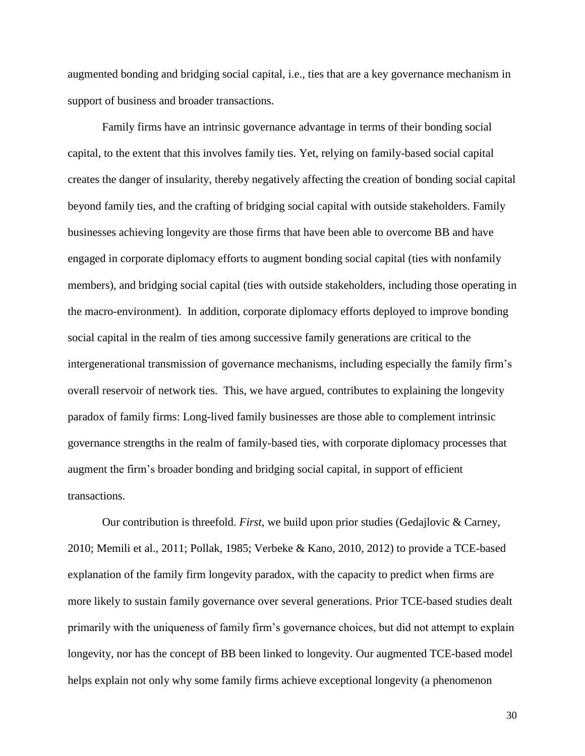augmented bonding and bridging social capital, i.e., ties that are a key governance mechanism in support of business and broader transactions.

Family firms have an intrinsic governance advantage in terms of their bonding social capital, to the extent that this involves family ties. Yet, relying on family-based social capital creates the danger of insularity, thereby negatively affecting the creation of bonding social capital beyond family ties, and the crafting of bridging social capital with outside stakeholders. Family businesses achieving longevity are those firms that have been able to overcome BB and have engaged in corporate diplomacy efforts to augment bonding social capital (ties with nonfamily members), and bridging social capital (ties with outside stakeholders, including those operating in the macro-environment). In addition, corporate diplomacy efforts deployed to improve bonding social capital in the realm of ties among successive family generations are critical to the intergenerational transmission of governance mechanisms, including especially the family firm's overall reservoir of network ties. This, we have argued, contributes to explaining the longevity paradox of family firms: Long-lived family businesses are those able to complement intrinsic governance strengths in the realm of family-based ties, with corporate diplomacy processes that augment the firm's broader bonding and bridging social capital, in support of efficient transactions.

Our contribution is threefold. *First*, we build upon prior studies (Gedajlovic & Carney, 2010; Memili et al., 2011; Pollak, 1985; Verbeke & Kano, 2010, 2012) to provide a TCE-based explanation of the family firm longevity paradox, with the capacity to predict when firms are more likely to sustain family governance over several generations. Prior TCE-based studies dealt primarily with the uniqueness of family firm's governance choices, but did not attempt to explain longevity, nor has the concept of BB been linked to longevity. Our augmented TCE-based model helps explain not only why some family firms achieve exceptional longevity (a phenomenon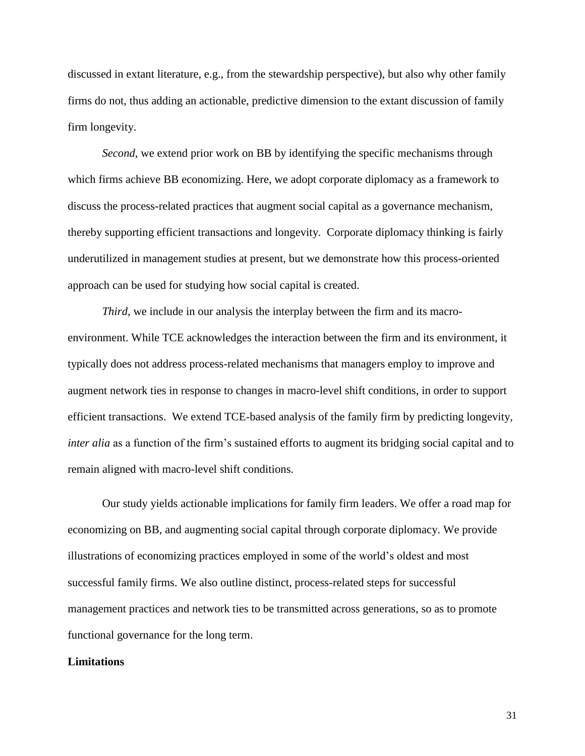discussed in extant literature, e.g., from the stewardship perspective), but also why other family firms do not, thus adding an actionable, predictive dimension to the extant discussion of family firm longevity.

*Second*, we extend prior work on BB by identifying the specific mechanisms through which firms achieve BB economizing. Here, we adopt corporate diplomacy as a framework to discuss the process-related practices that augment social capital as a governance mechanism, thereby supporting efficient transactions and longevity. Corporate diplomacy thinking is fairly underutilized in management studies at present, but we demonstrate how this process-oriented approach can be used for studying how social capital is created.

*Third*, we include in our analysis the interplay between the firm and its macroenvironment. While TCE acknowledges the interaction between the firm and its environment, it typically does not address process-related mechanisms that managers employ to improve and augment network ties in response to changes in macro-level shift conditions, in order to support efficient transactions. We extend TCE-based analysis of the family firm by predicting longevity*, inter alia* as a function of the firm's sustained efforts to augment its bridging social capital and to remain aligned with macro-level shift conditions.

Our study yields actionable implications for family firm leaders. We offer a road map for economizing on BB, and augmenting social capital through corporate diplomacy. We provide illustrations of economizing practices employed in some of the world's oldest and most successful family firms. We also outline distinct, process-related steps for successful management practices and network ties to be transmitted across generations, so as to promote functional governance for the long term.

### **Limitations**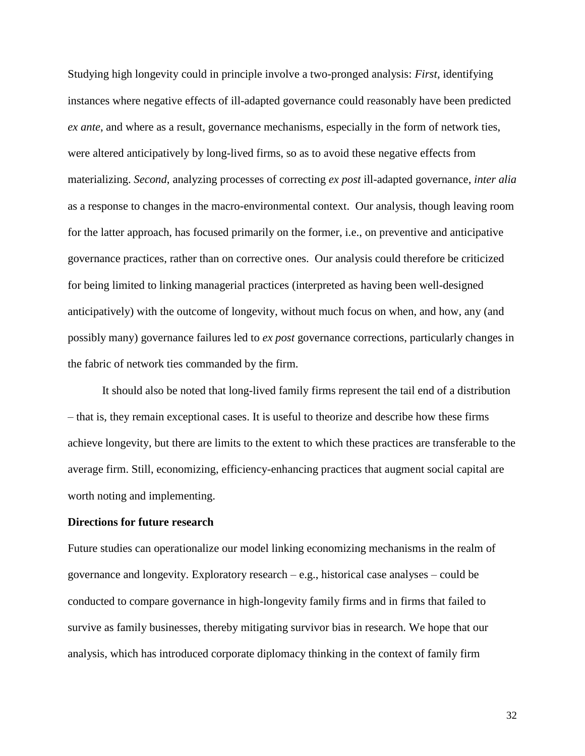Studying high longevity could in principle involve a two-pronged analysis: *First*, identifying instances where negative effects of ill-adapted governance could reasonably have been predicted *ex ante*, and where as a result, governance mechanisms, especially in the form of network ties, were altered anticipatively by long-lived firms, so as to avoid these negative effects from materializing. *Second*, analyzing processes of correcting *ex post* ill-adapted governance, *inter alia* as a response to changes in the macro-environmental context. Our analysis, though leaving room for the latter approach, has focused primarily on the former, i.e., on preventive and anticipative governance practices, rather than on corrective ones. Our analysis could therefore be criticized for being limited to linking managerial practices (interpreted as having been well-designed anticipatively) with the outcome of longevity, without much focus on when, and how, any (and possibly many) governance failures led to *ex post* governance corrections, particularly changes in the fabric of network ties commanded by the firm.

It should also be noted that long-lived family firms represent the tail end of a distribution – that is, they remain exceptional cases. It is useful to theorize and describe how these firms achieve longevity, but there are limits to the extent to which these practices are transferable to the average firm. Still, economizing, efficiency-enhancing practices that augment social capital are worth noting and implementing.

#### **Directions for future research**

Future studies can operationalize our model linking economizing mechanisms in the realm of governance and longevity. Exploratory research – e.g., historical case analyses – could be conducted to compare governance in high-longevity family firms and in firms that failed to survive as family businesses, thereby mitigating survivor bias in research. We hope that our analysis, which has introduced corporate diplomacy thinking in the context of family firm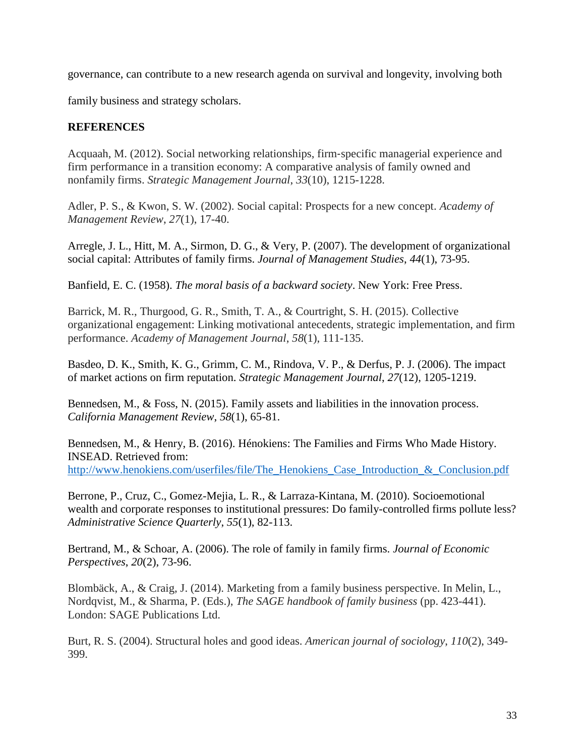governance, can contribute to a new research agenda on survival and longevity, involving both

family business and strategy scholars.

## **REFERENCES**

Acquaah, M. (2012). Social networking relationships, firm‐specific managerial experience and firm performance in a transition economy: A comparative analysis of family owned and nonfamily firms. *Strategic Management Journal*, *33*(10), 1215-1228.

Adler, P. S., & Kwon, S. W. (2002). Social capital: Prospects for a new concept. *Academy of Management Review*, *27*(1), 17-40.

Arregle, J. L., Hitt, M. A., Sirmon, D. G., & Very, P. (2007). The development of organizational social capital: Attributes of family firms. *Journal of Management Studies*, *44*(1), 73-95.

Banfield, E. C. (1958). *The moral basis of a backward society*. New York: Free Press.

Barrick, M. R., Thurgood, G. R., Smith, T. A., & Courtright, S. H. (2015). Collective organizational engagement: Linking motivational antecedents, strategic implementation, and firm performance. *Academy of Management Journal*, *58*(1), 111-135.

Basdeo, D. K., Smith, K. G., Grimm, C. M., Rindova, V. P., & Derfus, P. J. (2006). The impact of market actions on firm reputation. *Strategic Management Journal*, *27*(12), 1205-1219.

Bennedsen, M., & Foss, N. (2015). Family assets and liabilities in the innovation process. *California Management Review*, *58*(1), 65-81.

Bennedsen, M., & Henry, B. (2016). Hénokiens: The Families and Firms Who Made History. INSEAD. Retrieved from: [http://www.henokiens.com/userfiles/file/The\\_Henokiens\\_Case\\_Introduction\\_&\\_Conclusion.pdf](http://www.henokiens.com/userfiles/file/The_Henokiens_Case_Introduction_&_Conclusion.pdf)

Berrone, P., Cruz, C., Gomez-Mejia, L. R., & Larraza-Kintana, M. (2010). Socioemotional wealth and corporate responses to institutional pressures: Do family-controlled firms pollute less? *Administrative Science Quarterly*, *55*(1), 82-113.

Bertrand, M., & Schoar, A. (2006). The role of family in family firms. *Journal of Economic Perspectives*, *20*(2), 73-96.

Blombäck, A., & Craig, J. (2014). Marketing from a family business perspective. In Melin, L., Nordqvist, M., & Sharma, P. (Eds.), *The SAGE handbook of family business* (pp. 423-441). London: SAGE Publications Ltd.

Burt, R. S. (2004). Structural holes and good ideas. *American journal of sociology*, *110*(2), 349- 399.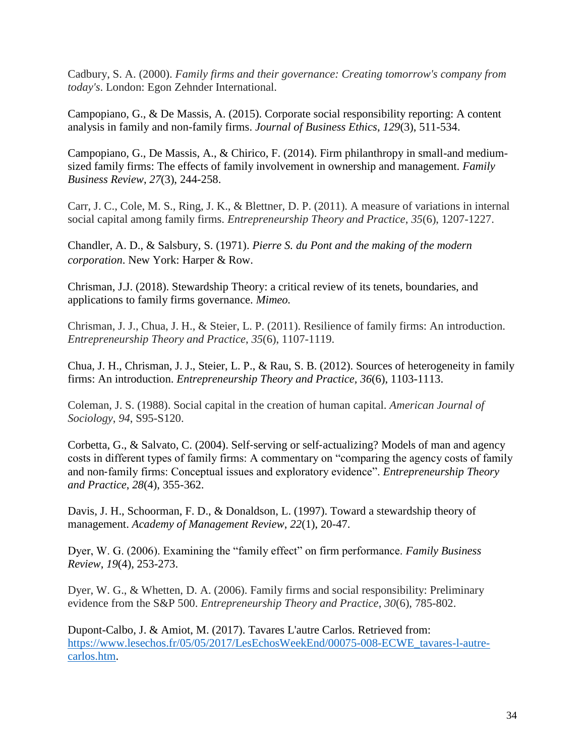Cadbury, S. A. (2000). *Family firms and their governance: Creating tomorrow's company from today's*. London: Egon Zehnder International.

Campopiano, G., & De Massis, A. (2015). Corporate social responsibility reporting: A content analysis in family and non-family firms. *Journal of Business Ethics*, *129*(3), 511-534.

Campopiano, G., De Massis, A., & Chirico, F. (2014). Firm philanthropy in small-and mediumsized family firms: The effects of family involvement in ownership and management. *Family Business Review*, *27*(3), 244-258.

Carr, J. C., Cole, M. S., Ring, J. K., & Blettner, D. P. (2011). A measure of variations in internal social capital among family firms. *Entrepreneurship Theory and Practice*, *35*(6), 1207-1227.

Chandler, A. D., & Salsbury, S. (1971). *Pierre S. du Pont and the making of the modern corporation*. New York: Harper & Row.

Chrisman, J.J. (2018). Stewardship Theory: a critical review of its tenets, boundaries, and applications to family firms governance. *Mimeo.*

Chrisman, J. J., Chua, J. H., & Steier, L. P. (2011). Resilience of family firms: An introduction. *Entrepreneurship Theory and Practice*, *35*(6), 1107-1119.

Chua, J. H., Chrisman, J. J., Steier, L. P., & Rau, S. B. (2012). Sources of heterogeneity in family firms: An introduction. *Entrepreneurship Theory and Practice, 36*(6), 1103-1113.

Coleman, J. S. (1988). Social capital in the creation of human capital. *American Journal of Sociology*, *94*, S95-S120.

Corbetta, G., & Salvato, C. (2004). Self‐serving or self‐actualizing? Models of man and agency costs in different types of family firms: A commentary on "comparing the agency costs of family and non‐family firms: Conceptual issues and exploratory evidence". *Entrepreneurship Theory and Practice*, *28*(4), 355-362.

Davis, J. H., Schoorman, F. D., & Donaldson, L. (1997). Toward a stewardship theory of management. *Academy of Management Review*, *22*(1), 20-47.

Dyer, W. G. (2006). Examining the "family effect" on firm performance. *Family Business Review*, *19*(4), 253-273.

Dyer, W. G., & Whetten, D. A. (2006). Family firms and social responsibility: Preliminary evidence from the S&P 500. *Entrepreneurship Theory and Practice*, *30*(6), 785-802.

Dupont-Calbo, J. & Amiot, M. (2017). Tavares L'autre Carlos. Retrieved from: [https://www.lesechos.fr/05/05/2017/LesEchosWeekEnd/00075-008-ECWE\\_tavares-l-autre](https://www.lesechos.fr/05/05/2017/LesEchosWeekEnd/00075-008-ECWE_tavares-l-autre-carlos.htm)[carlos.htm.](https://www.lesechos.fr/05/05/2017/LesEchosWeekEnd/00075-008-ECWE_tavares-l-autre-carlos.htm)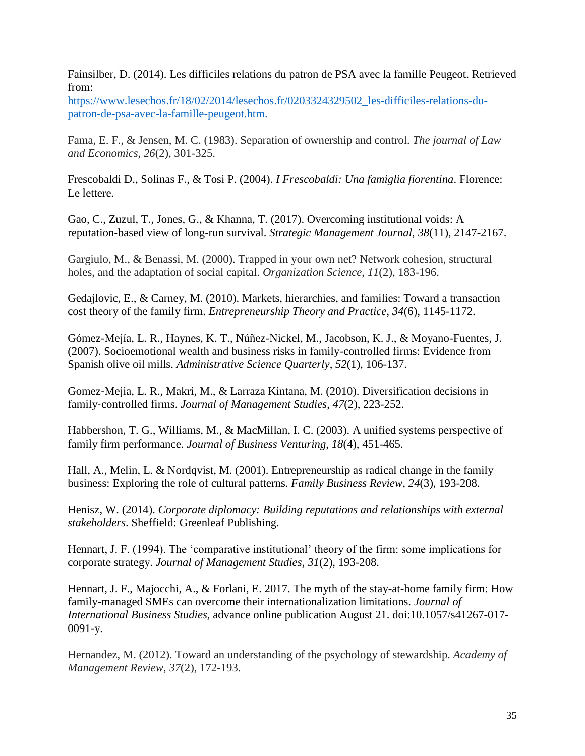Fainsilber, D. (2014). Les difficiles relations du patron de PSA avec la famille Peugeot. Retrieved from:

[https://www.lesechos.fr/18/02/2014/lesechos.fr/0203324329502\\_les-difficiles-relations-du](https://www.lesechos.fr/18/02/2014/lesechos.fr/0203324329502_les-difficiles-relations-du-patron-de-psa-avec-la-famille-peugeot.htm)[patron-de-psa-avec-la-famille-peugeot.htm.](https://www.lesechos.fr/18/02/2014/lesechos.fr/0203324329502_les-difficiles-relations-du-patron-de-psa-avec-la-famille-peugeot.htm)

Fama, E. F., & Jensen, M. C. (1983). Separation of ownership and control. *The journal of Law and Economics*, *26*(2), 301-325.

Frescobaldi D., Solinas F., & Tosi P. (2004). *I Frescobaldi: Una famiglia fiorentina*. Florence: Le lettere.

Gao, C., Zuzul, T., Jones, G., & Khanna, T. (2017). Overcoming institutional voids: A reputation‐based view of long‐run survival. *Strategic Management Journal*, *38*(11), 2147-2167.

Gargiulo, M., & Benassi, M. (2000). Trapped in your own net? Network cohesion, structural holes, and the adaptation of social capital. *Organization Science*, *11*(2), 183-196.

Gedajlovic, E., & Carney, M. (2010). Markets, hierarchies, and families: Toward a transaction cost theory of the family firm. *Entrepreneurship Theory and Practice*, *34*(6), 1145-1172.

Gómez-Mejía, L. R., Haynes, K. T., Núñez-Nickel, M., Jacobson, K. J., & Moyano-Fuentes, J. (2007). Socioemotional wealth and business risks in family-controlled firms: Evidence from Spanish olive oil mills. *Administrative Science Quarterly*, *52*(1), 106-137.

Gomez‐Mejia, L. R., Makri, M., & Larraza Kintana, M. (2010). Diversification decisions in family‐controlled firms. *Journal of Management Studies*, *47*(2), 223-252.

Habbershon, T. G., Williams, M., & MacMillan, I. C. (2003). A unified systems perspective of family firm performance. *Journal of Business Venturing*, *18*(4), 451-465.

Hall, A., Melin, L. & Nordqvist, M. (2001). Entrepreneurship as radical change in the family business: Exploring the role of cultural patterns. *Family Business Review*, *24*(3), 193-208.

Henisz, W. (2014). *Corporate diplomacy: Building reputations and relationships with external stakeholders*. Sheffield: Greenleaf Publishing.

Hennart, J. F. (1994). The 'comparative institutional' theory of the firm: some implications for corporate strategy. *Journal of Management Studies*, *31*(2), 193-208.

Hennart, J. F., Majocchi, A., & Forlani, E. 2017. The myth of the stay-at-home family firm: How family-managed SMEs can overcome their internationalization limitations. *Journal of International Business Studies,* advance online publication August 21. doi:10.1057/s41267-017- 0091-y.

Hernandez, M. (2012). Toward an understanding of the psychology of stewardship. *Academy of Management Review*, *37*(2), 172-193.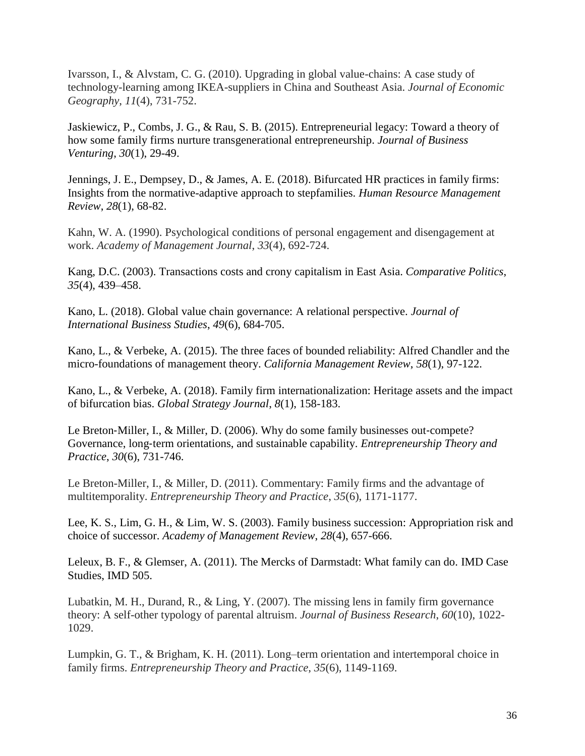Ivarsson, I., & Alvstam, C. G. (2010). Upgrading in global value-chains: A case study of technology-learning among IKEA-suppliers in China and Southeast Asia. *Journal of Economic Geography*, *11*(4), 731-752.

Jaskiewicz, P., Combs, J. G., & Rau, S. B. (2015). Entrepreneurial legacy: Toward a theory of how some family firms nurture transgenerational entrepreneurship. *Journal of Business Venturing*, *30*(1), 29-49.

Jennings, J. E., Dempsey, D., & James, A. E. (2018). Bifurcated HR practices in family firms: Insights from the normative-adaptive approach to stepfamilies. *Human Resource Management Review*, *28*(1), 68-82.

Kahn, W. A. (1990). Psychological conditions of personal engagement and disengagement at work. *Academy of Management Journal*, *33*(4), 692-724.

Kang, D.C. (2003). Transactions costs and crony capitalism in East Asia. *Comparative Politics*, *35*(4), 439–458.

Kano, L. (2018). Global value chain governance: A relational perspective. *Journal of International Business Studies*, *49*(6), 684-705.

Kano, L., & Verbeke, A. (2015). The three faces of bounded reliability: Alfred Chandler and the micro-foundations of management theory. *California Management Review*, *58*(1), 97-122.

Kano, L., & Verbeke, A. (2018). Family firm internationalization: Heritage assets and the impact of bifurcation bias. *Global Strategy Journal*, *8*(1), 158-183.

Le Breton-Miller, I., & Miller, D. (2006). Why do some family businesses out-compete? Governance, long‐term orientations, and sustainable capability. *Entrepreneurship Theory and Practice*, *30*(6), 731-746.

Le Breton-Miller, I., & Miller, D. (2011). Commentary: Family firms and the advantage of multitemporality. *Entrepreneurship Theory and Practice*, *35*(6), 1171-1177.

Lee, K. S., Lim, G. H., & Lim, W. S. (2003). Family business succession: Appropriation risk and choice of successor. *Academy of Management Review*, *28*(4), 657-666.

Leleux, B. F., & Glemser, A. (2011). The Mercks of Darmstadt: What family can do. IMD Case Studies, IMD 505.

Lubatkin, M. H., Durand, R., & Ling, Y. (2007). The missing lens in family firm governance theory: A self-other typology of parental altruism. *Journal of Business Research*, *60*(10), 1022- 1029.

Lumpkin, G. T., & Brigham, K. H. (2011). Long–term orientation and intertemporal choice in family firms. *Entrepreneurship Theory and Practice*, *35*(6), 1149-1169.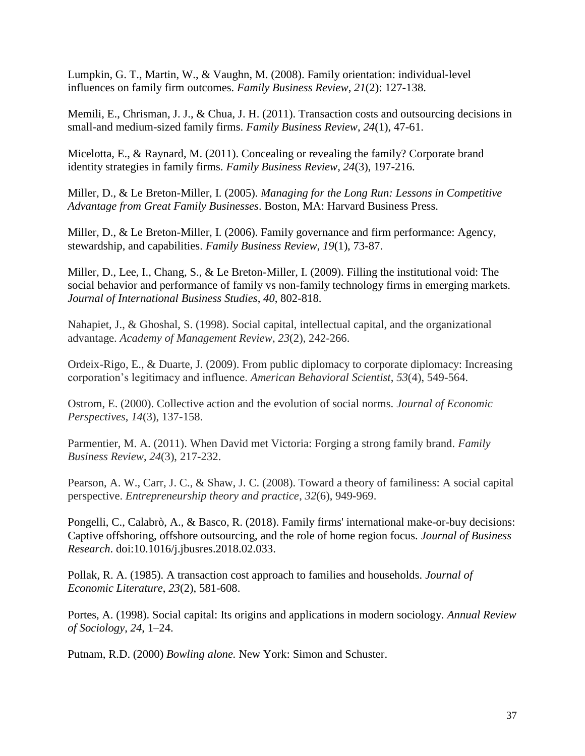Lumpkin, G. T., Martin, W., & Vaughn, M. (2008). Family orientation: individual-level influences on family firm outcomes. *Family Business Review*, *21*(2): 127-138.

Memili, E., Chrisman, J. J., & Chua, J. H. (2011). Transaction costs and outsourcing decisions in small-and medium-sized family firms. *Family Business Review*, *24*(1), 47-61.

Micelotta, E., & Raynard, M. (2011). Concealing or revealing the family? Corporate brand identity strategies in family firms. *Family Business Review, 24*(3), 197-216.

Miller, D., & Le Breton-Miller, I. (2005). *Managing for the Long Run: Lessons in Competitive Advantage from Great Family Businesses*. Boston, MA: Harvard Business Press.

Miller, D., & Le Breton-Miller, I. (2006). Family governance and firm performance: Agency, stewardship, and capabilities. *Family Business Review*, *19*(1), 73-87.

Miller, D., Lee, I., Chang, S., & Le Breton-Miller, I. (2009). Filling the institutional void: The social behavior and performance of family vs non-family technology firms in emerging markets. *Journal of International Business Studies*, *40*, 802-818.

Nahapiet, J., & Ghoshal, S. (1998). Social capital, intellectual capital, and the organizational advantage. *Academy of Management Review*, *23*(2), 242-266.

Ordeix-Rigo, E., & Duarte, J. (2009). From public diplomacy to corporate diplomacy: Increasing corporation's legitimacy and influence. *American Behavioral Scientist*, *53*(4), 549-564.

Ostrom, E. (2000). Collective action and the evolution of social norms. *Journal of Economic Perspectives*, *14*(3), 137-158.

Parmentier, M. A. (2011). When David met Victoria: Forging a strong family brand. *Family Business Review*, *24*(3), 217-232.

Pearson, A. W., Carr, J. C., & Shaw, J. C. (2008). Toward a theory of familiness: A social capital perspective. *Entrepreneurship theory and practice*, *32*(6), 949-969.

Pongelli, C., Calabrò, A., & Basco, R. (2018). Family firms' international make-or-buy decisions: Captive offshoring, offshore outsourcing, and the role of home region focus. *Journal of Business Research*. doi:10.1016/j.jbusres.2018.02.033.

Pollak, R. A. (1985). A transaction cost approach to families and households. *Journal of Economic Literature*, *23*(2), 581-608.

Portes, A. (1998). Social capital: Its origins and applications in modern sociology. *Annual Review of Sociology*, *24*, 1–24.

Putnam, R.D. (2000) *Bowling alone.* New York: Simon and Schuster.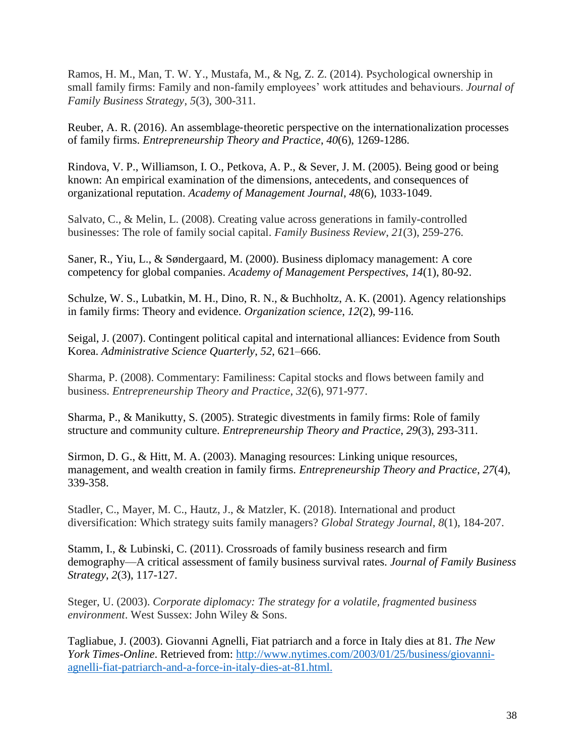Ramos, H. M., Man, T. W. Y., Mustafa, M., & Ng, Z. Z. (2014). Psychological ownership in small family firms: Family and non-family employees' work attitudes and behaviours. *Journal of Family Business Strategy*, *5*(3), 300-311.

Reuber, A. R. (2016). An assemblage-theoretic perspective on the internationalization processes of family firms. *Entrepreneurship Theory and Practice*, *40*(6), 1269-1286.

Rindova, V. P., Williamson, I. O., Petkova, A. P., & Sever, J. M. (2005). Being good or being known: An empirical examination of the dimensions, antecedents, and consequences of organizational reputation. *Academy of Management Journal*, *48*(6), 1033-1049.

Salvato, C., & Melin, L. (2008). Creating value across generations in family-controlled businesses: The role of family social capital. *Family Business Review*, *21*(3), 259-276.

Saner, R., Yiu, L., & Søndergaard, M. (2000). Business diplomacy management: A core competency for global companies. *Academy of Management Perspectives*, *14*(1), 80-92.

Schulze, W. S., Lubatkin, M. H., Dino, R. N., & Buchholtz, A. K. (2001). Agency relationships in family firms: Theory and evidence. *Organization science*, *12*(2), 99-116.

Seigal, J. (2007). Contingent political capital and international alliances: Evidence from South Korea. *Administrative Science Quarterly*, *52*, 621–666.

Sharma, P. (2008). Commentary: Familiness: Capital stocks and flows between family and business. *Entrepreneurship Theory and Practice*, *32*(6), 971-977.

Sharma, P., & Manikutty, S. (2005). Strategic divestments in family firms: Role of family structure and community culture. *Entrepreneurship Theory and Practice*, *29*(3), 293-311.

Sirmon, D. G., & Hitt, M. A. (2003). Managing resources: Linking unique resources, management, and wealth creation in family firms. *Entrepreneurship Theory and Practice*, *27*(4), 339-358.

Stadler, C., Mayer, M. C., Hautz, J., & Matzler, K. (2018). International and product diversification: Which strategy suits family managers? *Global Strategy Journal*, *8*(1), 184-207.

Stamm, I., & Lubinski, C. (2011). Crossroads of family business research and firm demography—A critical assessment of family business survival rates. *Journal of Family Business Strategy*, *2*(3), 117-127.

Steger, U. (2003). *Corporate diplomacy: The strategy for a volatile, fragmented business environment*. West Sussex: John Wiley & Sons.

Tagliabue, J. (2003). Giovanni Agnelli, Fiat patriarch and a force in Italy dies at 81. *The New York Times-Online*. Retrieved from: [http://www.nytimes.com/2003/01/25/business/giovanni](http://www.nytimes.com/2003/01/25/business/giovanni-agnelli-fiat-patriarch-and-a-force-in-italy-dies-at-81.html)[agnelli-fiat-patriarch-and-a-force-in-italy-dies-at-81.html.](http://www.nytimes.com/2003/01/25/business/giovanni-agnelli-fiat-patriarch-and-a-force-in-italy-dies-at-81.html)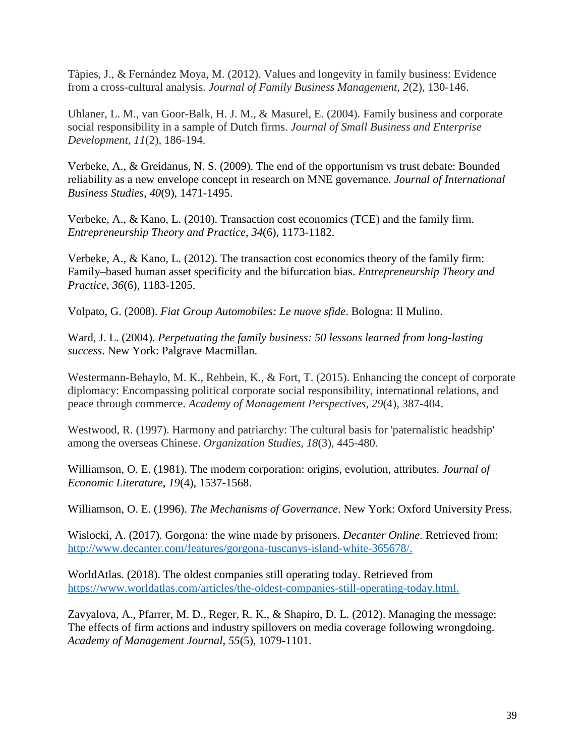Tàpies, J., & Fernández Moya, M. (2012). Values and longevity in family business: Evidence from a cross-cultural analysis. *Journal of Family Business Management*, *2*(2), 130-146.

Uhlaner, L. M., van Goor-Balk, H. J. M., & Masurel, E. (2004). Family business and corporate social responsibility in a sample of Dutch firms. *Journal of Small Business and Enterprise Development*, *11*(2), 186-194.

Verbeke, A., & Greidanus, N. S. (2009). The end of the opportunism vs trust debate: Bounded reliability as a new envelope concept in research on MNE governance. *Journal of International Business Studies*, *40*(9), 1471-1495.

Verbeke, A., & Kano, L. (2010). Transaction cost economics (TCE) and the family firm. *Entrepreneurship Theory and Practice*, *34*(6), 1173-1182.

Verbeke, A., & Kano, L. (2012). The transaction cost economics theory of the family firm: Family–based human asset specificity and the bifurcation bias. *Entrepreneurship Theory and Practice*, *36*(6), 1183-1205.

Volpato, G. (2008). *Fiat Group Automobiles: Le nuove sfide*. Bologna: Il Mulino.

Ward, J. L. (2004). *Perpetuating the family business: 50 lessons learned from long-lasting success*. New York: Palgrave Macmillan.

Westermann-Behaylo, M. K., Rehbein, K., & Fort, T. (2015). Enhancing the concept of corporate diplomacy: Encompassing political corporate social responsibility, international relations, and peace through commerce. *Academy of Management Perspectives*, *29*(4), 387-404.

Westwood, R. (1997). Harmony and patriarchy: The cultural basis for 'paternalistic headship' among the overseas Chinese. *Organization Studies*, *18*(3), 445-480.

Williamson, O. E. (1981). The modern corporation: origins, evolution, attributes. *Journal of Economic Literature*, *19*(4), 1537-1568.

Williamson, O. E. (1996). *The Mechanisms of Governance*. New York: Oxford University Press.

Wislocki, A. (2017). Gorgona: the wine made by prisoners. *Decanter Online*. Retrieved from: [http://www.decanter.com/features/gorgona-tuscanys-island-white-365678/.](http://www.decanter.com/features/gorgona-tuscanys-island-white-365678/)

WorldAtlas. (2018). The oldest companies still operating today. Retrieved from [https://www.worldatlas.com/articles/the-oldest-companies-still-operating-today.html.](https://www.worldatlas.com/articles/the-oldest-companies-still-operating-today.html)

Zavyalova, A., Pfarrer, M. D., Reger, R. K., & Shapiro, D. L. (2012). Managing the message: The effects of firm actions and industry spillovers on media coverage following wrongdoing. *Academy of Management Journal*, *55*(5), 1079-1101.